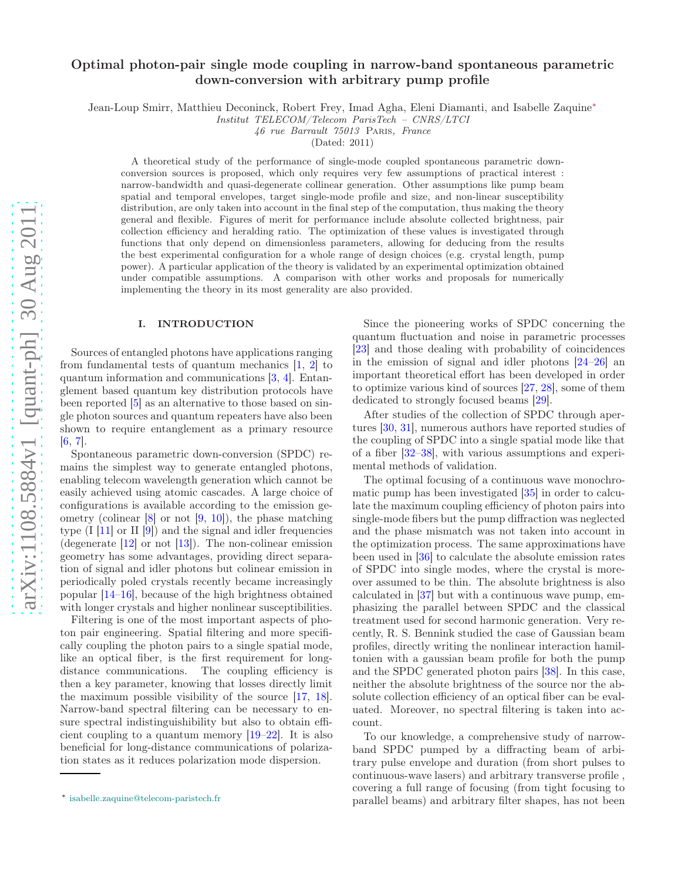# Optimal photon-pair single mode coupling in narrow-band spontaneous parametric down-conversion with arbitrary pump profile

Jean-Loup Smirr, Matthieu Deconinck, Robert Frey, Imad Agha, Eleni Diamanti, and Isabelle Zaquine[∗](#page-0-0)

Institut TELECOM/Telecom ParisTech – CNRS/LTCI

46 rue Barrault 75013 Paris, France

(Dated: 2011)

A theoretical study of the performance of single-mode coupled spontaneous parametric downconversion sources is proposed, which only requires very few assumptions of practical interest : narrow-bandwidth and quasi-degenerate collinear generation. Other assumptions like pump beam spatial and temporal envelopes, target single-mode profile and size, and non-linear susceptibility distribution, are only taken into account in the final step of the computation, thus making the theory general and flexible. Figures of merit for performance include absolute collected brightness, pair collection efficiency and heralding ratio. The optimization of these values is investigated through functions that only depend on dimensionless parameters, allowing for deducing from the results the best experimental configuration for a whole range of design choices (e.g. crystal length, pump power). A particular application of the theory is validated by an experimental optimization obtained under compatible assumptions. A comparison with other works and proposals for numerically implementing the theory in its most generality are also provided.

# I. INTRODUCTION

Sources of entangled photons have applications ranging from fundamental tests of quantum mechanics  $[1, 2]$  $[1, 2]$  $[1, 2]$  to quantum information and communications [\[3,](#page-14-2) [4\]](#page-14-3). Entanglement based quantum key distribution protocols have been reported [\[5\]](#page-14-4) as an alternative to those based on single photon sources and quantum repeaters have also been shown to require entanglement as a primary resource  $[6, 7]$  $[6, 7]$  $[6, 7]$ .

Spontaneous parametric down-conversion (SPDC) remains the simplest way to generate entangled photons, enabling telecom wavelength generation which cannot be easily achieved using atomic cascades. A large choice of configurations is available according to the emission geometry (colinear  $[8]$  or not  $[9, 10]$  $[9, 10]$ ), the phase matching type  $(I \ 11]$  or  $II \ 9$ ) and the signal and idler frequencies (degenerate  $[12]$  or not  $[13]$ ). The non-colinear emission geometry has some advantages, providing direct separation of signal and idler photons but colinear emission in periodically poled crystals recently became increasingly popular [\[14](#page-15-4)[–16\]](#page-15-5), because of the high brightness obtained with longer crystals and higher nonlinear susceptibilities.

Filtering is one of the most important aspects of photon pair engineering. Spatial filtering and more specifically coupling the photon pairs to a single spatial mode, like an optical fiber, is the first requirement for longdistance communications. The coupling efficiency is then a key parameter, knowing that losses directly limit the maximum possible visibility of the source [\[17](#page-15-6), [18\]](#page-15-7). Narrow-band spectral filtering can be necessary to ensure spectral indistinguishibility but also to obtain efficient coupling to a quantum memory [\[19](#page-15-8)[–22](#page-15-9)]. It is also beneficial for long-distance communications of polarization states as it reduces polarization mode dispersion.

Since the pioneering works of SPDC concerning the quantum fluctuation and noise in parametric processes [\[23\]](#page-15-10) and those dealing with probability of coincidences in the emission of signal and idler photons [\[24](#page-15-11)[–26](#page-15-12)] an important theoretical effort has been developed in order to optimize various kind of sources [\[27](#page-15-13), [28\]](#page-15-14), some of them dedicated to strongly focused beams [\[29\]](#page-15-15).

After studies of the collection of SPDC through apertures [\[30](#page-15-16), [31\]](#page-15-17), numerous authors have reported studies of the coupling of SPDC into a single spatial mode like that of a fiber [\[32](#page-15-18)[–38\]](#page-15-19), with various assumptions and experimental methods of validation.

The optimal focusing of a continuous wave monochromatic pump has been investigated [\[35](#page-15-20)] in order to calculate the maximum coupling efficiency of photon pairs into single-mode fibers but the pump diffraction was neglected and the phase mismatch was not taken into account in the optimization process. The same approximations have been used in [\[36\]](#page-15-21) to calculate the absolute emission rates of SPDC into single modes, where the crystal is moreover assumed to be thin. The absolute brightness is also calculated in [\[37\]](#page-15-22) but with a continuous wave pump, emphasizing the parallel between SPDC and the classical treatment used for second harmonic generation. Very recently, R. S. Bennink studied the case of Gaussian beam profiles, directly writing the nonlinear interaction hamiltonien with a gaussian beam profile for both the pump and the SPDC generated photon pairs [\[38\]](#page-15-19). In this case, neither the absolute brightness of the source nor the absolute collection efficiency of an optical fiber can be evaluated. Moreover, no spectral filtering is taken into account.

To our knowledge, a comprehensive study of narrowband SPDC pumped by a diffracting beam of arbitrary pulse envelope and duration (from short pulses to continuous-wave lasers) and arbitrary transverse profile , covering a full range of focusing (from tight focusing to parallel beams) and arbitrary filter shapes, has not been

<span id="page-0-0"></span><sup>∗</sup> [isabelle.zaquine@telecom-paristech.fr](mailto:isabelle.zaquine@telecom-paristech.fr)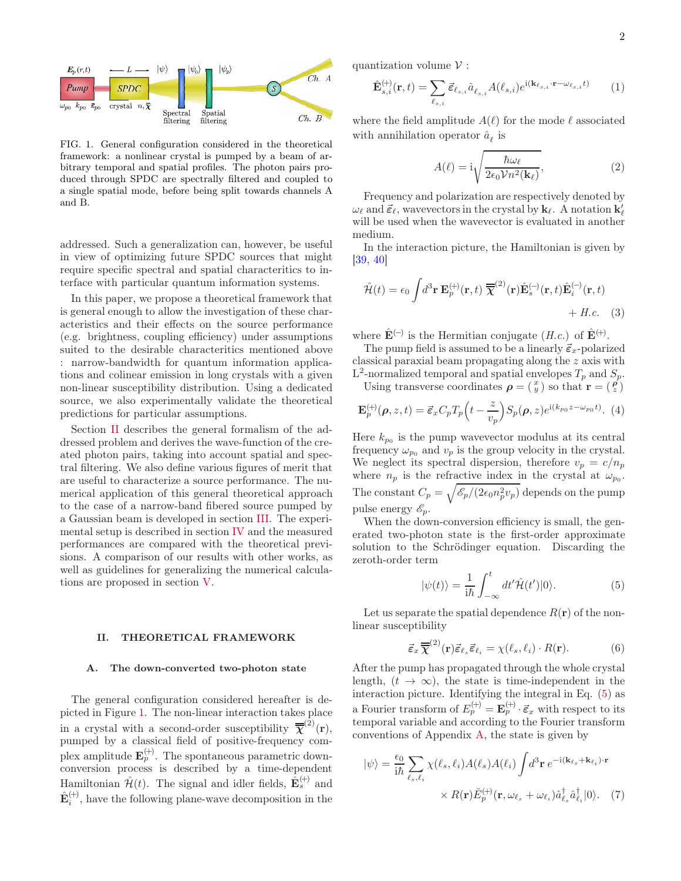

<span id="page-1-1"></span>FIG. 1. General configuration considered in the theoretical framework: a nonlinear crystal is pumped by a beam of arbitrary temporal and spatial profiles. The photon pairs produced through SPDC are spectrally filtered and coupled to a single spatial mode, before being split towards channels A and B.

addressed. Such a generalization can, however, be useful in view of optimizing future SPDC sources that might require specific spectral and spatial characteritics to interface with particular quantum information systems.

In this paper, we propose a theoretical framework that is general enough to allow the investigation of these characteristics and their effects on the source performance (e.g. brightness, coupling efficiency) under assumptions suited to the desirable characteritics mentioned above : narrow-bandwidth for quantum information applications and colinear emission in long crystals with a given non-linear susceptibility distribution. Using a dedicated source, we also experimentally validate the theoretical predictions for particular assumptions.

Section [II](#page-1-0) describes the general formalism of the addressed problem and derives the wave-function of the created photon pairs, taking into account spatial and spectral filtering. We also define various figures of merit that are useful to characterize a source performance. The numerical application of this general theoretical approach to the case of a narrow-band fibered source pumped by a Gaussian beam is developed in section [III.](#page-5-0) The experimental setup is described in section [IV](#page-9-0) and the measured performances are compared with the theoretical previsions. A comparison of our results with other works, as well as guidelines for generalizing the numerical calculations are proposed in section [V.](#page-11-0)

# <span id="page-1-0"></span>II. THEORETICAL FRAMEWORK

#### <span id="page-1-5"></span>A. The down-converted two-photon state

The general configuration considered hereafter is depicted in Figure [1.](#page-1-1) The non-linear interaction takes place in a crystal with a second-order susceptibility  $\overline{\overline{\chi}}^{(2)}(\mathbf{r}),$ pumped by a classical field of positive-frequency complex amplitude  $\mathbf{E}_p^{(+)}$ . The spontaneous parametric downconversion process is described by a time-dependent Hamiltonian  $\hat{\mathcal{H}}(t)$ . The signal and idler fields,  $\hat{\mathbf{E}}_s^{(+)}$  and  $\hat{\mathbf{E}}_{i}^{(+)}$ , have the following plane-wave decomposition in the

quantization volume  $V$ :

$$
\hat{\mathbf{E}}_{s,i}^{(+)}(\mathbf{r},t) = \sum_{\ell_{s,i}} \vec{\varepsilon}_{\ell_{s,i}} \hat{a}_{\ell_{s,i}} A(\ell_{s,i}) e^{\mathrm{i}(\mathbf{k}_{\ell_{s,i}} \cdot \mathbf{r} - \omega_{\ell_{s,i}} t)} \qquad (1)
$$

where the field amplitude  $A(\ell)$  for the mode  $\ell$  associated with annihilation operator  $\hat{a}_\ell$  is

<span id="page-1-3"></span>
$$
A(\ell) = \mathrm{i} \sqrt{\frac{\hbar \omega_{\ell}}{2\epsilon_0 \mathcal{V} n^2(\mathbf{k}_{\ell})}},\tag{2}
$$

Frequency and polarization are respectively denoted by  $\omega_{\ell}$  and  $\vec{\epsilon}_{\ell}$ , wavevectors in the crystal by  $\mathbf{k}_{\ell}$ . A notation  $\mathbf{k}'_{\ell}$ will be used when the wavevector is evaluated in another medium.

In the interaction picture, the Hamiltonian is given by [\[39,](#page-15-23) [40\]](#page-15-24)

$$
\hat{\mathcal{H}}(t) = \epsilon_0 \int d^3 \mathbf{r} \, \mathbf{E}_p^{(+)}(\mathbf{r}, t) \, \overline{\overline{\mathbf{\chi}}}^{(2)}(\mathbf{r}) \hat{\mathbf{E}}_s^{(-)}(\mathbf{r}, t) \hat{\mathbf{E}}_i^{(-)}(\mathbf{r}, t) + H.c. \quad (3)
$$

where  $\hat{\mathbf{E}}^{(-)}$  is the Hermitian conjugate  $(H.c.)$  of  $\hat{\mathbf{E}}^{(+)}$ .

The pump field is assumed to be a linearly  $\vec{\varepsilon}_x$ -polarized classical paraxial beam propagating along the z axis with  $L^2$ -normalized temporal and spatial envelopes  $T_p$  and  $S_p$ .

Using transverse coordinates  $\rho = \begin{pmatrix} x \\ y \end{pmatrix}$  so that  $\mathbf{r} = \begin{pmatrix} \rho \\ z \end{pmatrix}$ 

$$
\mathbf{E}_{p}^{(+)}(\boldsymbol{\rho}, z, t) = \vec{\varepsilon}_{x} C_{p} T_{p} \left( t - \frac{z}{v_{p}} \right) S_{p}(\boldsymbol{\rho}, z) e^{\mathrm{i}(k_{p_{0}} z - \omega_{p_{0}} t)}. (4)
$$

Here  $k_{p_0}$  is the pump wavevector modulus at its central frequency  $\omega_{p_0}$  and  $v_p$  is the group velocity in the crystal. We neglect its spectral dispersion, therefore  $v_p = c/n_p$ where  $n_p$  is the refractive index in the crystal at  $\omega_{p_0}$ . The constant  $C_p = \sqrt{\mathscr{E}_p/(2\epsilon_0 n_p^2 v_p)}$  depends on the pump pulse energy  $\mathscr{E}_n$ .

When the down-conversion efficiency is small, the generated two-photon state is the first-order approximate solution to the Schrödinger equation. Discarding the zeroth-order term

<span id="page-1-2"></span>
$$
|\psi(t)\rangle = \frac{1}{i\hbar} \int_{-\infty}^{t} dt' \hat{\mathcal{H}}(t') |0\rangle.
$$
 (5)

Let us separate the spatial dependence  $R(\mathbf{r})$  of the nonlinear susceptibility

<span id="page-1-4"></span>
$$
\vec{\varepsilon}_x \, \overline{\overline{\chi}}^{(2)}(\mathbf{r}) \vec{\varepsilon}_{\ell_s} \vec{\varepsilon}_{\ell_i} = \chi(\ell_s, \ell_i) \cdot R(\mathbf{r}). \tag{6}
$$

After the pump has propagated through the whole crystal length,  $(t \to \infty)$ , the state is time-independent in the interaction picture. Identifying the integral in Eq. [\(5\)](#page-1-2) as a Fourier transform of  $E_p^{(+)} = \mathbf{E}_p^{(+)} \cdot \vec{\epsilon}_x$  with respect to its temporal variable and according to the Fourier transform conventions of Appendix [A,](#page-13-0) the state is given by

$$
|\psi\rangle = \frac{\epsilon_0}{i\hbar} \sum_{\ell_s, \ell_i} \chi(\ell_s, \ell_i) A(\ell_s) A(\ell_i) \int d^3 \mathbf{r} e^{-i(\mathbf{k}_{\ell_s} + \mathbf{k}_{\ell_i}) \cdot \mathbf{r}} \times R(\mathbf{r}) \breve{E}_p^{(+)}(\mathbf{r}, \omega_{\ell_s} + \omega_{\ell_i}) \hat{a}_{\ell_s}^\dagger \hat{a}_{\ell_i}^\dagger |0\rangle. \tag{7}
$$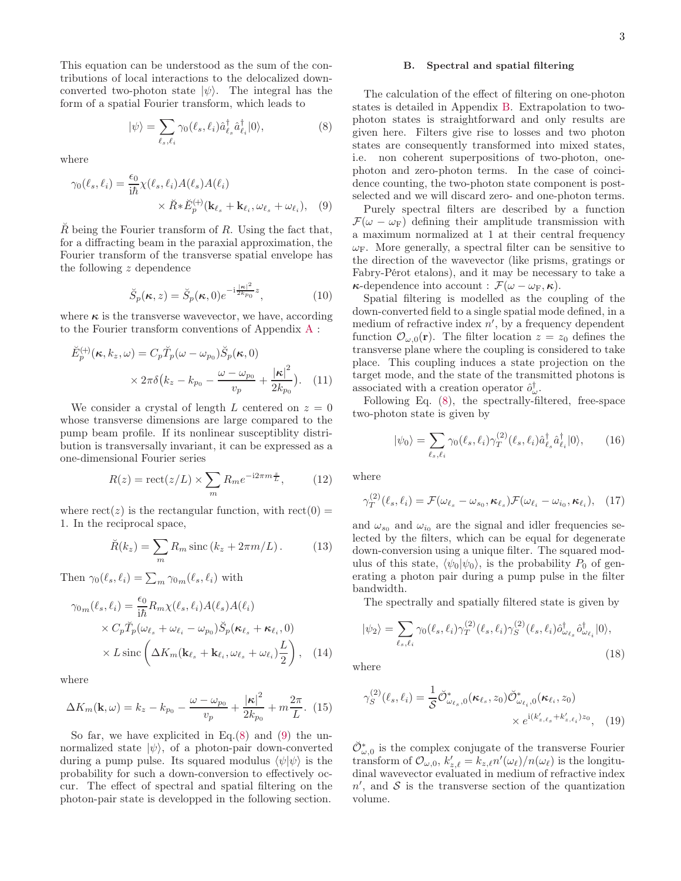This equation can be understood as the sum of the contributions of local interactions to the delocalized downconverted two-photon state  $|\psi\rangle$ . The integral has the form of a spatial Fourier transform, which leads to

<span id="page-2-0"></span>
$$
|\psi\rangle = \sum_{\ell_s, \ell_i} \gamma_0(\ell_s, \ell_i) \hat{a}^\dagger_{\ell_s} \hat{a}^\dagger_{\ell_i} |0\rangle, \tag{8}
$$

where

$$
\gamma_0(\ell_s, \ell_i) = \frac{\epsilon_0}{i\hbar} \chi(\ell_s, \ell_i) A(\ell_s) A(\ell_i) \times \breve{R} * \breve{E}_p^{(+)}(\mathbf{k}_{\ell_s} + \mathbf{k}_{\ell_i}, \omega_{\ell_s} + \omega_{\ell_i}), \quad (9)
$$

 $\overline{R}$  being the Fourier transform of  $R$ . Using the fact that, for a diffracting beam in the paraxial approximation, the Fourier transform of the transverse spatial envelope has the following z dependence

<span id="page-2-6"></span>
$$
\breve{S}_p(\kappa, z) = \breve{S}_p(\kappa, 0) e^{-i\frac{|\kappa|^2}{2k_{p_0}}z},\tag{10}
$$

where  $\kappa$  is the transverse wavevector, we have, according to the Fourier transform conventions of Appendix [A](#page-13-0) :

$$
\breve{E}_{p}^{(+)}(\boldsymbol{\kappa},k_{z},\omega) = C_{p}\breve{T}_{p}(\omega - \omega_{p_{0}})\breve{S}_{p}(\boldsymbol{\kappa},0)
$$

$$
\times 2\pi\delta(k_{z} - k_{p_{0}} - \frac{\omega - \omega_{p_{0}}}{v_{p}} + \frac{|\boldsymbol{\kappa}|^{2}}{2k_{p_{0}}}). \quad (11)
$$

We consider a crystal of length L centered on  $z = 0$ whose transverse dimensions are large compared to the pump beam profile. If its nonlinear susceptiblity distribution is transversally invariant, it can be expressed as a one-dimensional Fourier series

$$
R(z) = \text{rect}(z/L) \times \sum_{m} R_m e^{-i2\pi m \frac{z}{L}}, \quad (12)
$$

where  $rect(z)$  is the rectangular function, with  $rect(0) =$ 1. In the reciprocal space,

$$
\breve{R}(k_z) = \sum_{m} R_m \operatorname{sinc}\left(k_z + 2\pi m/L\right). \tag{13}
$$

Then  $\gamma_0(\ell_s, \ell_i) = \sum_m \gamma_{0m}(\ell_s, \ell_i)$  with

$$
\gamma_{0m}(\ell_s, \ell_i) = \frac{\epsilon_0}{i\hbar} R_m \chi(\ell_s, \ell_i) A(\ell_s) A(\ell_i)
$$
  
 
$$
\times C_p \check{T}_p(\omega_{\ell_s} + \omega_{\ell_i} - \omega_{p_0}) \check{S}_p(\kappa_{\ell_s} + \kappa_{\ell_i}, 0)
$$
  
 
$$
\times L \operatorname{sinc}\left(\Delta K_m(\mathbf{k}_{\ell_s} + \mathbf{k}_{\ell_i}, \omega_{\ell_s} + \omega_{\ell_i}) \frac{L}{2}\right), \quad (14)
$$

where

<span id="page-2-2"></span>
$$
\Delta K_m(\mathbf{k}, \omega) = k_z - k_{p_0} - \frac{\omega - \omega_{p_0}}{v_p} + \frac{|\kappa|^2}{2k_{p_0}} + m\frac{2\pi}{L}.
$$
 (15)

So far, we have explicited in  $Eq.(8)$  $Eq.(8)$  and [\(9\)](#page-2-1) the unnormalized state  $|\psi\rangle$ , of a photon-pair down-converted during a pump pulse. Its squared modulus  $\langle \psi | \psi \rangle$  is the probability for such a down-conversion to effectively occur. The effect of spectral and spatial filtering on the photon-pair state is developped in the following section.

#### <span id="page-2-7"></span>B. Spectral and spatial filtering

The calculation of the effect of filtering on one-photon states is detailed in Appendix [B.](#page-13-1) Extrapolation to twophoton states is straightforward and only results are given here. Filters give rise to losses and two photon states are consequently transformed into mixed states, i.e. non coherent superpositions of two-photon, onephoton and zero-photon terms. In the case of coincidence counting, the two-photon state component is postselected and we will discard zero- and one-photon terms.

<span id="page-2-1"></span>Purely spectral filters are described by a function  $\mathcal{F}(\omega - \omega_F)$  defining their amplitude transmission with a maximum normalized at 1 at their central frequency  $\omega_F$ . More generally, a spectral filter can be sensitive to the direction of the wavevector (like prisms, gratings or Fabry-Pérot etalons), and it may be necessary to take a  $\kappa$ -dependence into account :  $\mathcal{F}(\omega - \omega_F, \kappa)$ .

Spatial filtering is modelled as the coupling of the down-converted field to a single spatial mode defined, in a medium of refractive index  $n'$ , by a frequency dependent function  $\mathcal{O}_{\omega,0}(\mathbf{r})$ . The filter location  $z=z_0$  defines the transverse plane where the coupling is considered to take place. This coupling induces a state projection on the target mode, and the state of the transmitted photons is associated with a creation operator  $\hat{o}^{\dagger}_{\omega}$ .

Following Eq. [\(8\)](#page-2-0), the spectrally-filtered, free-space two-photon state is given by

<span id="page-2-5"></span>
$$
|\psi_0\rangle = \sum_{\ell_s, \ell_i} \gamma_0(\ell_s, \ell_i) \gamma_T^{(2)}(\ell_s, \ell_i) \hat{a}_{\ell_s}^\dagger \hat{a}_{\ell_i}^\dagger |0\rangle, \qquad (16)
$$

where

$$
\gamma_T^{(2)}(\ell_s, \ell_i) = \mathcal{F}(\omega_{\ell_s} - \omega_{s_0}, \kappa_{\ell_s}) \mathcal{F}(\omega_{\ell_i} - \omega_{i_0}, \kappa_{\ell_i}), \quad (17)
$$

and  $\omega_{s_0}$  and  $\omega_{i_0}$  are the signal and idler frequencies selected by the filters, which can be equal for degenerate down-conversion using a unique filter. The squared modulus of this state,  $\langle \psi_0 | \psi_0 \rangle$ , is the probability  $P_0$  of generating a photon pair during a pump pulse in the filter bandwidth.

The spectrally and spatially filtered state is given by

<span id="page-2-4"></span>
$$
|\psi_2\rangle = \sum_{\ell_s, \ell_i} \gamma_0(\ell_s, \ell_i) \gamma_T^{(2)}(\ell_s, \ell_i) \gamma_S^{(2)}(\ell_s, \ell_i) \hat{o}_{\omega_{\ell_s}}^\dagger \hat{o}_{\omega_{\ell_i}}^\dagger |0\rangle, \tag{18}
$$

where

<span id="page-2-3"></span>
$$
\gamma_S^{(2)}(\ell_s, \ell_i) = \frac{1}{S} \breve{\mathcal{O}}_{\omega_{\ell_s}, 0}^*(\kappa_{\ell_s}, z_0) \breve{\mathcal{O}}_{\omega_{\ell_i}, 0}^*(\kappa_{\ell_i}, z_0) \times e^{i(k'_{z,\ell_s} + k'_{z,\ell_i}) z_0}, \quad (19)
$$

 $\check{\mathcal{O}}_{\omega,0}^*$  is the complex conjugate of the transverse Fourier transform of  $\mathcal{O}_{\omega,0}$ ,  $k'_{z,\ell} = k_{z,\ell} n'(\omega_{\ell})/n(\omega_{\ell})$  is the longitudinal wavevector evaluated in medium of refractive index  $n'$ , and  $S$  is the transverse section of the quantization volume.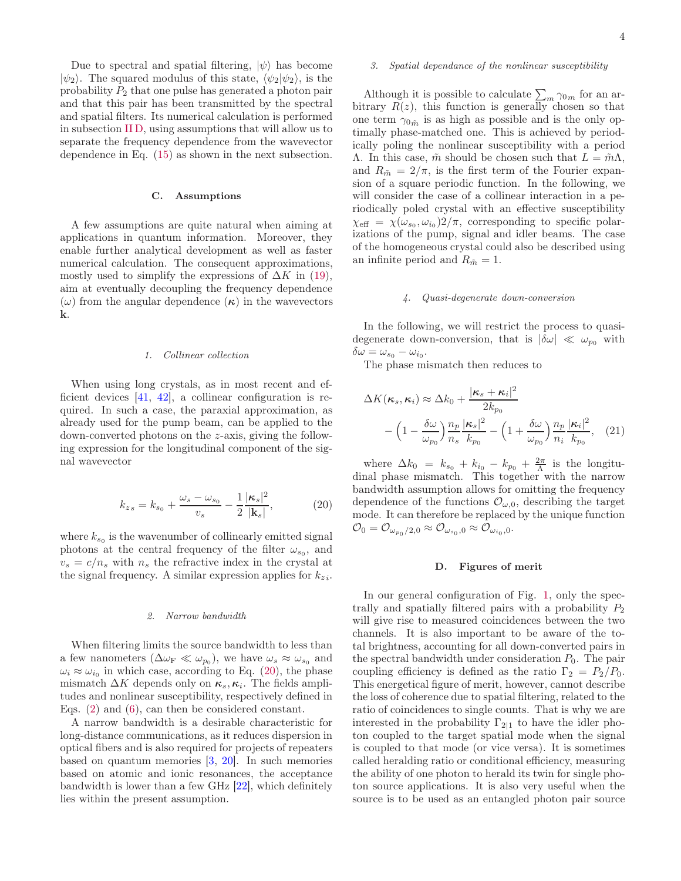Due to spectral and spatial filtering,  $|\psi\rangle$  has become  $|\psi_2\rangle$ . The squared modulus of this state,  $\langle \psi_2|\psi_2\rangle$ , is the probability  $P_2$  that one pulse has generated a photon pair and that this pair has been transmitted by the spectral and spatial filters. Its numerical calculation is performed in subsection [II D,](#page-3-0) using assumptions that will allow us to separate the frequency dependence from the wavevector dependence in Eq. [\(15\)](#page-2-2) as shown in the next subsection.

### C. Assumptions

A few assumptions are quite natural when aiming at applications in quantum information. Moreover, they enable further analytical development as well as faster numerical calculation. The consequent approximations, mostly used to simplify the expressions of  $\Delta K$  in [\(19\)](#page-2-3), aim at eventually decoupling the frequency dependence (ω) from the angular dependence ( $\kappa$ ) in the wavevectors k.

# 1. Collinear collection

When using long crystals, as in most recent and efficient devices [\[41,](#page-15-25) [42\]](#page-15-26), a collinear configuration is required. In such a case, the paraxial approximation, as already used for the pump beam, can be applied to the down-converted photons on the z-axis, giving the following expression for the longitudinal component of the signal wavevector

<span id="page-3-1"></span>
$$
k_{zs} = k_{s_0} + \frac{\omega_s - \omega_{s_0}}{v_s} - \frac{1}{2} \frac{|\kappa_s|^2}{|\mathbf{k}_s|},
$$
 (20)

where  $k_{s_0}$  is the wavenumber of collinearly emitted signal photons at the central frequency of the filter  $\omega_{s_0}$ , and  $v_s = c/n_s$  with  $n_s$  the refractive index in the crystal at the signal frequency. A similar expression applies for  $k_{zi}$ .

#### 2. Narrow bandwidth

When filtering limits the source bandwidth to less than a few nanometers  $(\Delta \omega_{\rm F} \ll \omega_{p_0})$ , we have  $\omega_s \approx \omega_{s_0}$  and  $\omega_i \approx \omega_{i_0}$  in which case, according to Eq. [\(20\)](#page-3-1), the phase mismatch  $\Delta K$  depends only on  $\kappa_s, \kappa_i$ . The fields amplitudes and nonlinear susceptibility, respectively defined in Eqs. [\(2\)](#page-1-3) and [\(6\)](#page-1-4), can then be considered constant.

A narrow bandwidth is a desirable characteristic for long-distance communications, as it reduces dispersion in optical fibers and is also required for projects of repeaters based on quantum memories  $[3, 20]$  $[3, 20]$ . In such memories based on atomic and ionic resonances, the acceptance bandwidth is lower than a few GHz [\[22](#page-15-9)], which definitely lies within the present assumption.

#### 3. Spatial dependance of the nonlinear susceptibility

Although it is possible to calculate  $\sum_{m} \gamma_{0m}$  for an arbitrary  $R(z)$ , this function is generally chosen so that one term  $\gamma_{0\tilde{m}}$  is as high as possible and is the only optimally phase-matched one. This is achieved by periodically poling the nonlinear susceptibility with a period Λ. In this case,  $\tilde{m}$  should be chosen such that  $L = \tilde{m}Λ$ , and  $R_{\tilde{m}} = 2/\pi$ , is the first term of the Fourier expansion of a square periodic function. In the following, we will consider the case of a collinear interaction in a periodically poled crystal with an effective susceptibility  $\chi_{\text{eff}} = \chi(\omega_{s_0}, \omega_{i_0})2/\pi$ , corresponding to specific polarizations of the pump, signal and idler beams. The case of the homogeneous crystal could also be described using an infinite period and  $R_{\tilde{m}} = 1$ .

### 4. Quasi-degenerate down-conversion

In the following, we will restrict the process to quasidegenerate down-conversion, that is  $|\delta \omega| \ll \omega_{p_0}$  with  $\delta\omega = \omega_{s_0} - \omega_{i_0}.$ 

The phase mismatch then reduces to

$$
\Delta K(\boldsymbol{\kappa}_s, \boldsymbol{\kappa}_i) \approx \Delta k_0 + \frac{|\boldsymbol{\kappa}_s + \boldsymbol{\kappa}_i|^2}{2k_{p_0}}
$$

$$
- \left(1 - \frac{\delta \omega}{\omega_{p_0}}\right) \frac{n_p}{n_s} \frac{|\boldsymbol{\kappa}_s|^2}{k_{p_0}} - \left(1 + \frac{\delta \omega}{\omega_{p_0}}\right) \frac{n_p}{n_i} \frac{|\boldsymbol{\kappa}_i|^2}{k_{p_0}}, \quad (21)
$$

where  $\Delta k_0 = k_{s_0} + k_{i_0} - k_{p_0} + \frac{2\pi}{\Lambda}$  is the longitudinal phase mismatch. This together with the narrow bandwidth assumption allows for omitting the frequency dependence of the functions  $\mathcal{O}_{\omega,0}$ , describing the target mode. It can therefore be replaced by the unique function  $\mathcal{O}_0 = \mathcal{O}_{\omega_{p_0}/2,0} \approx \mathcal{O}_{\omega_{s_0},0} \approx \mathcal{O}_{\omega_{i_0},0}.$ 

#### <span id="page-3-0"></span>D. Figures of merit

In our general configuration of Fig. [1,](#page-1-1) only the spectrally and spatially filtered pairs with a probability  $P_2$ will give rise to measured coincidences between the two channels. It is also important to be aware of the total brightness, accounting for all down-converted pairs in the spectral bandwidth under consideration  $P_0$ . The pair coupling efficiency is defined as the ratio  $\Gamma_2 = P_2/P_0$ . This energetical figure of merit, however, cannot describe the loss of coherence due to spatial filtering, related to the ratio of coincidences to single counts. That is why we are interested in the probability  $\Gamma_{2|1}$  to have the idler photon coupled to the target spatial mode when the signal is coupled to that mode (or vice versa). It is sometimes called heralding ratio or conditional efficiency, measuring the ability of one photon to herald its twin for single photon source applications. It is also very useful when the source is to be used as an entangled photon pair source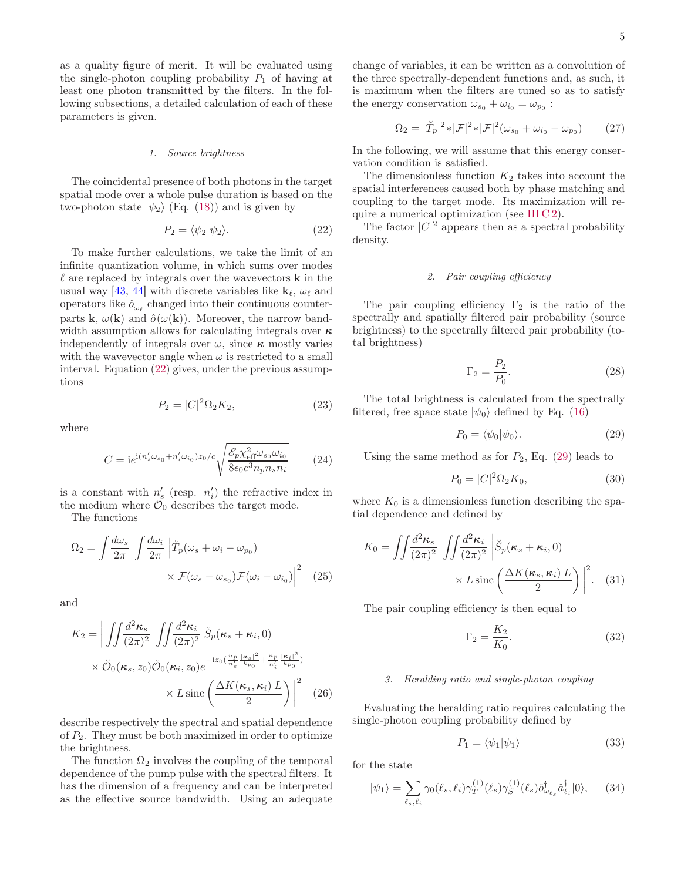as a quality figure of merit. It will be evaluated using the single-photon coupling probability  $P_1$  of having at least one photon transmitted by the filters. In the following subsections, a detailed calculation of each of these parameters is given.

#### 1. Source brightness

The coincidental presence of both photons in the target spatial mode over a whole pulse duration is based on the two-photon state  $|\psi_2\rangle$  (Eq. [\(18\)](#page-2-4)) and is given by

<span id="page-4-0"></span>
$$
P_2 = \langle \psi_2 | \psi_2 \rangle. \tag{22}
$$

To make further calculations, we take the limit of an infinite quantization volume, in which sums over modes  $\ell$  are replaced by integrals over the wavevectors **k** in the usual way [\[43,](#page-15-28) [44](#page-15-29)] with discrete variables like  $\mathbf{k}_{\ell}, \omega_{\ell}$  and operators like  $\hat{o}_{\omega_{\ell}}$  changed into their continuous counterparts **k**,  $\omega(\mathbf{k})$  and  $\hat{\rho}(\omega(\mathbf{k}))$ . Moreover, the narrow bandwidth assumption allows for calculating integrals over  $\kappa$ independently of integrals over  $\omega$ , since  $\kappa$  mostly varies with the wavevector angle when  $\omega$  is restricted to a small interval. Equation [\(22\)](#page-4-0) gives, under the previous assumptions

<span id="page-4-3"></span>
$$
P_2 = |C|^2 \Omega_2 K_2, \tag{23}
$$

where

$$
C = i e^{i (n_s' \omega_{s_0} + n_i' \omega_{i_0}) z_0/c} \sqrt{\frac{\mathcal{E}_p \chi_{\text{eff}}^2 \omega_{s_0} \omega_{i_0}}{8 \epsilon_0 c^3 n_p n_s n_i}} \tag{24}
$$

is a constant with  $n'_{s}$  (resp.  $n'_{i}$ ) the refractive index in the medium where  $\mathcal{O}_0$  describes the target mode.

The functions

$$
\Omega_2 = \int \frac{d\omega_s}{2\pi} \int \frac{d\omega_i}{2\pi} \left| \breve{T}_p(\omega_s + \omega_i - \omega_{p_0}) \right|
$$

$$
\times \mathcal{F}(\omega_s - \omega_{s_0}) \mathcal{F}(\omega_i - \omega_{i_0}) \Big|^2 \tag{25}
$$

and

$$
K_2 = \left| \int \int \frac{d^2 \kappa_s}{(2\pi)^2} \int \int \frac{d^2 \kappa_i}{(2\pi)^2} \, \breve{S}_p(\kappa_s + \kappa_i, 0) \times \breve{O}_0(\kappa_s, z_0) \breve{O}_0(\kappa_i, z_0) e^{-iz_0(\frac{n_p}{n_s'} \frac{|\kappa_s|^2}{k_{p_0}} + \frac{n_p}{n_i'} \frac{|\kappa_i|^2}{k_{p_0}})} \times L \operatorname{sinc}\left(\frac{\Delta K(\kappa_s, \kappa_i) L}{2}\right) \right|^2 \tag{26}
$$

describe respectively the spectral and spatial dependence of  $P_2$ . They must be both maximized in order to optimize the brightness.

The function  $\Omega_2$  involves the coupling of the temporal dependence of the pump pulse with the spectral filters. It has the dimension of a frequency and can be interpreted as the effective source bandwidth. Using an adequate change of variables, it can be written as a convolution of the three spectrally-dependent functions and, as such, it is maximum when the filters are tuned so as to satisfy the energy conservation  $\omega_{s_0} + \omega_{i_0} = \omega_{p_0}$ :

<span id="page-4-2"></span>
$$
\Omega_2 = |\breve{T}_p|^2 * |\mathcal{F}|^2 * |\mathcal{F}|^2 (\omega_{s_0} + \omega_{i_0} - \omega_{p_0}) \qquad (27)
$$

In the following, we will assume that this energy conservation condition is satisfied.

The dimensionless function  $K_2$  takes into account the spatial interferences caused both by phase matching and coupling to the target mode. Its maximization will require a numerical optimization (see [III C 2\)](#page-6-0).

The factor  $|C|^2$  appears then as a spectral probability density.

# 2. Pair coupling efficiency

The pair coupling efficiency  $\Gamma_2$  is the ratio of the spectrally and spatially filtered pair probability (source brightness) to the spectrally filtered pair probability (total brightness)

<span id="page-4-5"></span>
$$
\Gamma_2 = \frac{P_2}{P_0}.\tag{28}
$$

The total brightness is calculated from the spectrally filtered, free space state  $|\psi_0\rangle$  defined by Eq. [\(16\)](#page-2-5)

<span id="page-4-1"></span>
$$
P_0 = \langle \psi_0 | \psi_0 \rangle. \tag{29}
$$

Using the same method as for  $P_2$ , Eq. [\(29\)](#page-4-1) leads to

$$
P_0 = |C|^2 \Omega_2 K_0, \tag{30}
$$

where  $K_0$  is a dimensionless function describing the spatial dependence and defined by

$$
K_0 = \iint \frac{d^2 \kappa_s}{(2\pi)^2} \iint \frac{d^2 \kappa_i}{(2\pi)^2} \left| \breve{S}_p(\kappa_s + \kappa_i, 0) \right| \times L \operatorname{sinc} \left( \frac{\Delta K(\kappa_s, \kappa_i)}{2} \right) \Big|^2. \tag{31}
$$

<span id="page-4-4"></span>The pair coupling efficiency is then equal to

<span id="page-4-6"></span>
$$
\Gamma_2 = \frac{K_2}{K_0}.\tag{32}
$$

#### 3. Heralding ratio and single-photon coupling

Evaluating the heralding ratio requires calculating the single-photon coupling probability defined by

$$
P_1 = \langle \psi_1 | \psi_1 \rangle \tag{33}
$$

for the state

$$
|\psi_1\rangle = \sum_{\ell_s, \ell_i} \gamma_0(\ell_s, \ell_i) \gamma_T^{(1)}(\ell_s) \gamma_S^{(1)}(\ell_s) \hat{o}_{\omega_{\ell_s}}^\dagger \hat{a}_{\ell_i}^\dagger |0\rangle, \qquad (34)
$$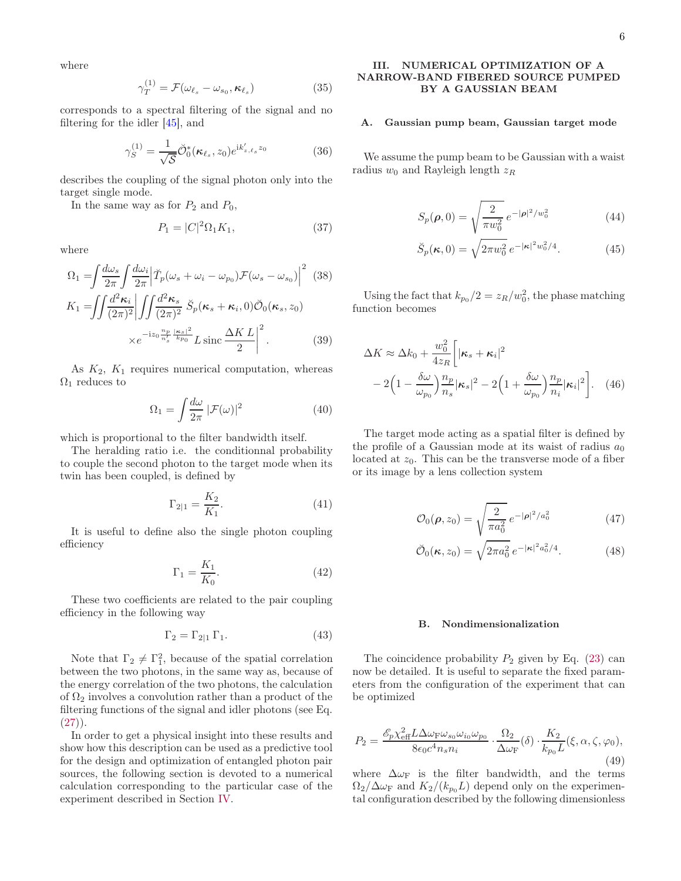where

$$
\gamma_T^{(1)} = \mathcal{F}(\omega_{\ell_s} - \omega_{s_0}, \kappa_{\ell_s})
$$
\n(35)

corresponds to a spectral filtering of the signal and no filtering for the idler [\[45](#page-15-30)], and

$$
\gamma_S^{(1)} = \frac{1}{\sqrt{S}} \check{\mathcal{O}}_0^*(\kappa_{\ell_s}, z_0) e^{\mathrm{i}k'_{z,\ell_s} z_0} \tag{36}
$$

describes the coupling of the signal photon only into the target single mode.

In the same way as for  $P_2$  and  $P_0$ ,

<span id="page-5-3"></span>
$$
P_1 = |C|^2 \Omega_1 K_1, \tag{37}
$$

where

$$
\Omega_1 = \int \frac{d\omega_s}{2\pi} \int \frac{d\omega_i}{2\pi} \left| \tilde{T}_p(\omega_s + \omega_i - \omega_{p_0}) \mathcal{F}(\omega_s - \omega_{s_0}) \right|^2 \tag{38}
$$
\n
$$
K_1 = \int \int \frac{d^2 \kappa_i}{(2\pi)^2} \left| \int \int \frac{d^2 \kappa_s}{(2\pi)^2} \ \breve{S}_p(\kappa_s + \kappa_i, 0) \breve{\mathcal{O}}_0(\kappa_s, z_0) \right|
$$

$$
\times e^{-iz_0\frac{n_p}{n'_s}\frac{|\kappa_s|^2}{k_{p_0}}}L\operatorname{sinc}\frac{\Delta KL}{2}\bigg|^2.
$$
 (39)

As  $K_2$ ,  $K_1$  requires numerical computation, whereas  $\Omega_1$  reduces to

$$
\Omega_1 = \int \frac{d\omega}{2\pi} |\mathcal{F}(\omega)|^2 \tag{40}
$$

which is proportional to the filter bandwidth itself.

The heralding ratio i.e. the conditionnal probability to couple the second photon to the target mode when its twin has been coupled, is defined by

<span id="page-5-2"></span>
$$
\Gamma_{2|1} = \frac{K_2}{K_1}.\tag{41}
$$

It is useful to define also the single photon coupling efficiency

$$
\Gamma_1 = \frac{K_1}{K_0}.\tag{42}
$$

These two coefficients are related to the pair coupling efficiency in the following way

$$
\Gamma_2 = \Gamma_{2|1} \Gamma_1. \tag{43}
$$

Note that  $\Gamma_2 \neq \Gamma_1^2$ , because of the spatial correlation between the two photons, in the same way as, because of the energy correlation of the two photons, the calculation of  $\Omega_2$  involves a convolution rather than a product of the filtering functions of the signal and idler photons (see Eq.  $(27)$ .

In order to get a physical insight into these results and show how this description can be used as a predictive tool for the design and optimization of entangled photon pair sources, the following section is devoted to a numerical calculation corresponding to the particular case of the experiment described in Section [IV.](#page-9-0)

# <span id="page-5-0"></span>III. NUMERICAL OPTIMIZATION OF A NARROW-BAND FIBERED SOURCE PUMPED BY A GAUSSIAN BEAM

# A. Gaussian pump beam, Gaussian target mode

We assume the pump beam to be Gaussian with a waist radius  $w_0$  and Rayleigh length  $z_R$ 

$$
S_p(\rho, 0) = \sqrt{\frac{2}{\pi w_0^2}} e^{-|\rho|^2 / w_0^2}
$$
 (44)

$$
\breve{S}_p(\kappa,0) = \sqrt{2\pi w_0^2} e^{-|\kappa|^2 w_0^2/4}.
$$
 (45)

Using the fact that  $k_{p_0}/2 = z_R/w_0^2$ , the phase matching function becomes

$$
\Delta K \approx \Delta k_0 + \frac{w_0^2}{4z_R} \left[ |\kappa_s + \kappa_i|^2 - 2\left(1 - \frac{\delta \omega}{\omega_{p_0}}\right) \frac{n_p}{n_s} |\kappa_s|^2 - 2\left(1 + \frac{\delta \omega}{\omega_{p_0}}\right) \frac{n_p}{n_i} |\kappa_i|^2 \right].
$$
 (46)

The target mode acting as a spatial filter is defined by the profile of a Gaussian mode at its waist of radius  $a_0$ located at  $z_0$ . This can be the transverse mode of a fiber or its image by a lens collection system

$$
\mathcal{O}_0(\rho, z_0) = \sqrt{\frac{2}{\pi a_0^2}} e^{-|\rho|^2/a_0^2}
$$
 (47)

$$
\breve{\mathcal{O}}_0(\kappa, z_0) = \sqrt{2\pi a_0^2} e^{-|\kappa|^2 a_0^2/4}.
$$
 (48)

### B. Nondimensionalization

The coincidence probability  $P_2$  given by Eq. [\(23\)](#page-4-3) can now be detailed. It is useful to separate the fixed parameters from the configuration of the experiment that can be optimized

<span id="page-5-1"></span>
$$
P_2 = \frac{\mathcal{E}_p \chi_{\text{eff}}^2 L \Delta \omega_{\text{F}} \omega_{s_0} \omega_{i_0} \omega_{p_0}}{8\epsilon_0 c^4 n_s n_i} \cdot \frac{\Omega_2}{\Delta \omega_{\text{F}}}(\delta) \cdot \frac{K_2}{k_{p_0} L}(\xi, \alpha, \zeta, \varphi_0),\tag{49}
$$

where  $\Delta \omega_F$  is the filter bandwidth, and the terms  $\Omega_2/\Delta\omega_F$  and  $K_2/(k_{p_0}L)$  depend only on the experimental configuration described by the following dimensionless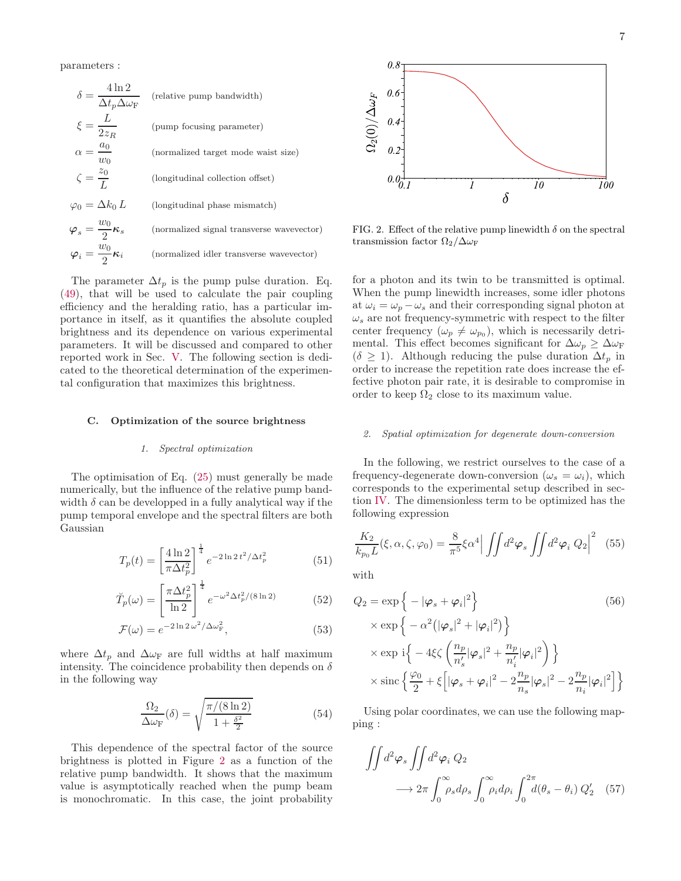parameters :

$$
\delta = \frac{4 \ln 2}{\Delta t_p \Delta \omega_{\rm F}}
$$
 (relative pump bandwidth)  
\n
$$
\xi = \frac{L}{2z_R}
$$
 (pump focusing parameter)  
\n
$$
\alpha = \frac{a_0}{w_0}
$$
 (normalized target mode waits size)  
\n
$$
\zeta = \frac{z_0}{L}
$$
 (longitudinal collection offset)  
\n
$$
\varphi_0 = \Delta k_0 L
$$
 (longitudinal phase mismatch)  
\n
$$
\varphi_s = \frac{w_0}{2} \kappa_s
$$
 (normalized signal transverse wavevector)  
\n
$$
\varphi_i = \frac{w_0}{2} \kappa_i
$$
 (normalized idler transverse wavevector)

The parameter  $\Delta t_p$  is the pump pulse duration. Eq. [\(49\)](#page-5-1), that will be used to calculate the pair coupling efficiency and the heralding ratio, has a particular importance in itself, as it quantifies the absolute coupled brightness and its dependence on various experimental parameters. It will be discussed and compared to other reported work in Sec. [V.](#page-11-0) The following section is dedicated to the theoretical determination of the experimental configuration that maximizes this brightness.

#### C. Optimization of the source brightness

#### 1. Spectral optimization

The optimisation of Eq. [\(25\)](#page-4-4) must generally be made numerically, but the influence of the relative pump bandwidth  $\delta$  can be developped in a fully analytical way if the pump temporal envelope and the spectral filters are both Gaussian

$$
T_p(t) = \left[\frac{4\ln 2}{\pi \Delta t_p^2}\right]^{\frac{1}{4}} e^{-2\ln 2\,t^2/\Delta t_p^2}
$$
(51)

$$
\tilde{T}_p(\omega) = \left[\frac{\pi \Delta t_p^2}{\ln 2}\right]^{\frac{1}{4}} e^{-\omega^2 \Delta t_p^2/(8 \ln 2)} \tag{52}
$$

$$
\mathcal{F}(\omega) = e^{-2\ln 2 \omega^2/\Delta \omega_{\rm F}^2},\tag{53}
$$

where  $\Delta t_p$  and  $\Delta \omega_F$  are full widths at half maximum intensity. The coincidence probability then depends on  $\delta$ in the following way

$$
\frac{\Omega_2}{\Delta \omega_{\rm F}}(\delta) = \sqrt{\frac{\pi/(8\ln 2)}{1 + \frac{\delta^2}{2}}}
$$
(54)

This dependence of the spectral factor of the source brightness is plotted in Figure [2](#page-6-1) as a function of the relative pump bandwidth. It shows that the maximum value is asymptotically reached when the pump beam is monochromatic. In this case, the joint probability



<span id="page-6-1"></span>FIG. 2. Effect of the relative pump linewidth  $\delta$  on the spectral transmission factor  $\Omega_2/\Delta\omega_F$ 

for a photon and its twin to be transmitted is optimal. When the pump linewidth increases, some idler photons at  $\omega_i = \omega_p - \omega_s$  and their corresponding signal photon at  $\omega_s$  are not frequency-symmetric with respect to the filter center frequency  $(\omega_p \neq \omega_{p_0})$ , which is necessarily detrimental. This effect becomes significant for  $\Delta \omega_p \geq \Delta \omega_F$  $(\delta \geq 1)$ . Although reducing the pulse duration  $\Delta t_p$  in order to increase the repetition rate does increase the effective photon pair rate, it is desirable to compromise in order to keep  $\Omega_2$  close to its maximum value.

#### <span id="page-6-0"></span>2. Spatial optimization for degenerate down-conversion

In the following, we restrict ourselves to the case of a frequency-degenerate down-conversion  $(\omega_s = \omega_i)$ , which corresponds to the experimental setup described in section [IV.](#page-9-0) The dimensionless term to be optimized has the following expression

<span id="page-6-2"></span>
$$
\frac{K_2}{k_{p_0}L}(\xi,\alpha,\zeta,\varphi_0) = \frac{8}{\pi^5} \xi \alpha^4 \left| \iint d^2 \varphi_s \iint d^2 \varphi_i Q_2 \right|^2 \tag{55}
$$

with

$$
Q_2 = \exp\left\{-|\varphi_s + \varphi_i|^2\right\}
$$
(56)  
\n
$$
\times \exp\left\{-\alpha^2(|\varphi_s|^2 + |\varphi_i|^2)\right\}
$$
  
\n
$$
\times \exp\left\{-4\xi\zeta\left(\frac{n_p}{n'_s}|\varphi_s|^2 + \frac{n_p}{n'_i}|\varphi_i|^2\right)\right\}
$$
  
\n
$$
\times \operatorname{sinc}\left\{\frac{\varphi_0}{2} + \xi\left[|\varphi_s + \varphi_i|^2 - 2\frac{n_p}{n_s}|\varphi_s|^2 - 2\frac{n_p}{n_i}|\varphi_i|^2\right]\right\}
$$

Using polar coordinates, we can use the following mapping :

<span id="page-6-3"></span>
$$
\iint d^2 \varphi_s \iint d^2 \varphi_i Q_2
$$
  

$$
\longrightarrow 2\pi \int_0^\infty \rho_s d\rho_s \int_0^\infty \rho_i d\rho_i \int_0^{2\pi} d(\theta_s - \theta_i) Q_2' \quad (57)
$$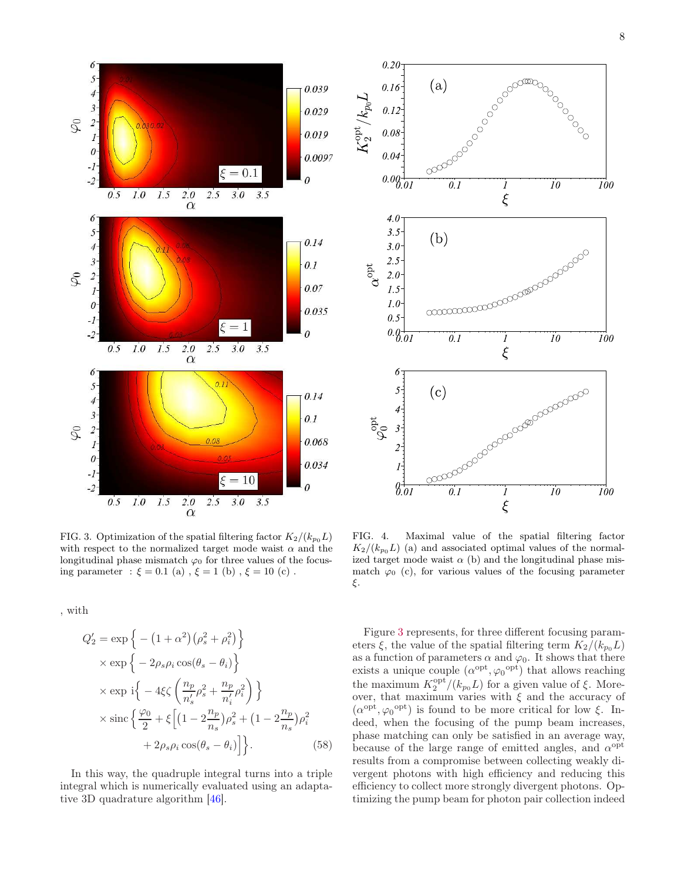

<span id="page-7-0"></span>FIG. 3. Optimization of the spatial filtering factor  $K_2/(k_{p_0}L)$ with respect to the normalized target mode waist  $\alpha$  and the longitudinal phase mismatch  $\varphi_0$  for three values of the focusing parameter :  $\xi = 0.1$  (a),  $\xi = 1$  (b),  $\xi = 10$  (c).

, with

$$
Q'_{2} = \exp\left\{-\left(1+\alpha^{2}\right)\left(\rho_{s}^{2}+\rho_{i}^{2}\right)\right\}
$$
  
\n
$$
\times \exp\left\{-2\rho_{s}\rho_{i}\cos(\theta_{s}-\theta_{i})\right\}
$$
  
\n
$$
\times \exp i\left\{-4\xi\zeta\left(\frac{n_{p}}{n'_{s}}\rho_{s}^{2}+\frac{n_{p}}{n'_{i}}\rho_{i}^{2}\right)\right\}
$$
  
\n
$$
\times \sin\left\{\frac{\varphi_{0}}{2}+\xi\left[\left(1-2\frac{n_{p}}{n_{s}}\right)\rho_{s}^{2}+\left(1-2\frac{n_{p}}{n_{s}}\right)\rho_{i}^{2}\right.\right.
$$
  
\n
$$
+2\rho_{s}\rho_{i}\cos(\theta_{s}-\theta_{i})\right\}.
$$
 (58)

In this way, the quadruple integral turns into a triple integral which is numerically evaluated using an adaptative 3D quadrature algorithm [\[46\]](#page-15-31).



<span id="page-7-1"></span>FIG. 4. Maximal value of the spatial filtering factor  $K_2/(k_{p_0}L)$  (a) and associated optimal values of the normalized target mode waist  $\alpha$  (b) and the longitudinal phase mismatch  $\varphi_0$  (c), for various values of the focusing parameter ξ.

Figure [3](#page-7-0) represents, for three different focusing parameters  $\xi$ , the value of the spatial filtering term  $K_2/(k_{p_0} L)$ as a function of parameters  $\alpha$  and  $\varphi_0$ . It shows that there exists a unique couple  $(\alpha^{\text{opt}}, \varphi_0^{\text{opt}})$  that allows reaching the maximum  $K_2^{\text{opt}}/(k_{p_0}L)$  for a given value of  $\xi$ . Moreover, that maximum varies with  $\xi$  and the accuracy of  $(\alpha^{\text{opt}}, \varphi_0^{\text{opt}})$  is found to be more critical for low  $\xi$ . Indeed, when the focusing of the pump beam increases, phase matching can only be satisfied in an average way, because of the large range of emitted angles, and  $\alpha^{\text{opt}}$ results from a compromise between collecting weakly divergent photons with high efficiency and reducing this efficiency to collect more strongly divergent photons. Optimizing the pump beam for photon pair collection indeed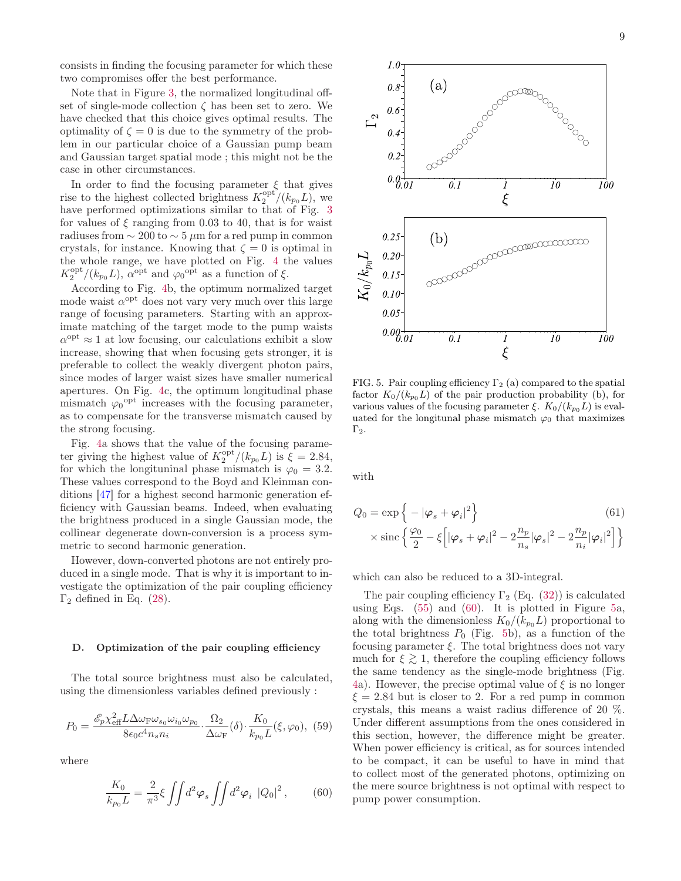consists in finding the focusing parameter for which these two compromises offer the best performance.

Note that in Figure [3,](#page-7-0) the normalized longitudinal offset of single-mode collection  $\zeta$  has been set to zero. We have checked that this choice gives optimal results. The optimality of  $\zeta = 0$  is due to the symmetry of the problem in our particular choice of a Gaussian pump beam and Gaussian target spatial mode ; this might not be the case in other circumstances.

In order to find the focusing parameter  $\xi$  that gives rise to the highest collected brightness  $K_2^{\text{opt}}/(k_{p_0}L)$ , we have performed optimizations similar to that of Fig. [3](#page-7-0) for values of  $\xi$  ranging from 0.03 to 40, that is for waist radiuses from  $\sim 200$  to  $\sim 5 \mu m$  for a red pump in common crystals, for instance. Knowing that  $\zeta = 0$  is optimal in the whole range, we have plotted on Fig. [4](#page-7-1) the values  $K_2^{\text{opt}}/(k_{p_0}L)$ ,  $\alpha^{\text{opt}}$  and  $\varphi_0^{\text{opt}}$  as a function of  $\xi$ .

According to Fig. [4b](#page-7-1), the optimum normalized target mode waist  $\alpha^{\text{opt}}$  does not vary very much over this large range of focusing parameters. Starting with an approximate matching of the target mode to the pump waists  $\alpha^{\text{opt}} \approx 1$  at low focusing, our calculations exhibit a slow increase, showing that when focusing gets stronger, it is preferable to collect the weakly divergent photon pairs, since modes of larger waist sizes have smaller numerical apertures. On Fig. [4c](#page-7-1), the optimum longitudinal phase mismatch  $\varphi_0^{\text{opt}}$  increases with the focusing parameter, as to compensate for the transverse mismatch caused by the strong focusing.

Fig. [4a](#page-7-1) shows that the value of the focusing parameter giving the highest value of  $K_2^{\text{opt}}/(k_{p_0}L)$  is  $\zeta = 2.84$ , for which the longituninal phase mismatch is  $\varphi_0 = 3.2$ . These values correspond to the Boyd and Kleinman conditions [\[47\]](#page-15-32) for a highest second harmonic generation efficiency with Gaussian beams. Indeed, when evaluating the brightness produced in a single Gaussian mode, the collinear degenerate down-conversion is a process symmetric to second harmonic generation.

However, down-converted photons are not entirely produced in a single mode. That is why it is important to investigate the optimization of the pair coupling efficiency  $\Gamma_2$  defined in Eq. [\(28\)](#page-4-5).

### D. Optimization of the pair coupling efficiency

The total source brightness must also be calculated, using the dimensionless variables defined previously :

$$
P_0 = \frac{\mathcal{E}_p \chi_{\text{eff}}^2 L \Delta \omega_{\text{F}} \omega_{s_0} \omega_{i_0} \omega_{p_0}}{8 \epsilon_0 c^4 n_s n_i} \cdot \frac{\Omega_2}{\Delta \omega_{\text{F}}} (\delta) \cdot \frac{K_0}{k_{p_0} L} (\xi, \varphi_0), \tag{59}
$$

where

<span id="page-8-0"></span>
$$
\frac{K_0}{k_{p_0}L} = \frac{2}{\pi^3} \xi \iint d^2 \varphi_s \iint d^2 \varphi_i \, |Q_0|^2 \,, \tag{60}
$$



<span id="page-8-1"></span>FIG. 5. Pair coupling efficiency  $\Gamma_2$  (a) compared to the spatial factor  $K_0/(k_{p_0}L)$  of the pair production probability (b), for various values of the focusing parameter  $\xi$ .  $K_0/(k_{p_0}L)$  is evaluated for the longitunal phase mismatch  $\varphi_0$  that maximizes  $\Gamma_2$ .

with

$$
Q_0 = \exp\left\{-|\varphi_s + \varphi_i|^2\right\}
$$
  
 
$$
\times \operatorname{sinc}\left\{\frac{\varphi_0}{2} - \xi\left[|\varphi_s + \varphi_i|^2 - 2\frac{n_p}{n_s}|\varphi_s|^2 - 2\frac{n_p}{n_i}|\varphi_i|^2\right]\right\}
$$
 (61)

which can also be reduced to a 3D-integral.

The pair coupling efficiency  $\Gamma_2$  (Eq. [\(32\)](#page-4-6)) is calculated using Eqs.  $(55)$  and  $(60)$ . It is plotted in Figure [5a](#page-8-1), along with the dimensionless  $K_0/(k_{p_0}L)$  proportional to the total brightness  $P_0$  (Fig. [5b](#page-8-1)), as a function of the focusing parameter  $\xi$ . The total brightness does not vary much for  $\xi \gtrsim 1$ , therefore the coupling efficiency follows the same tendency as the single-mode brightness (Fig. [4a](#page-7-1)). However, the precise optimal value of  $\xi$  is no longer  $\xi = 2.84$  but is closer to 2. For a red pump in common crystals, this means a waist radius difference of 20 %. Under different assumptions from the ones considered in this section, however, the difference might be greater. When power efficiency is critical, as for sources intended to be compact, it can be useful to have in mind that to collect most of the generated photons, optimizing on the mere source brightness is not optimal with respect to pump power consumption.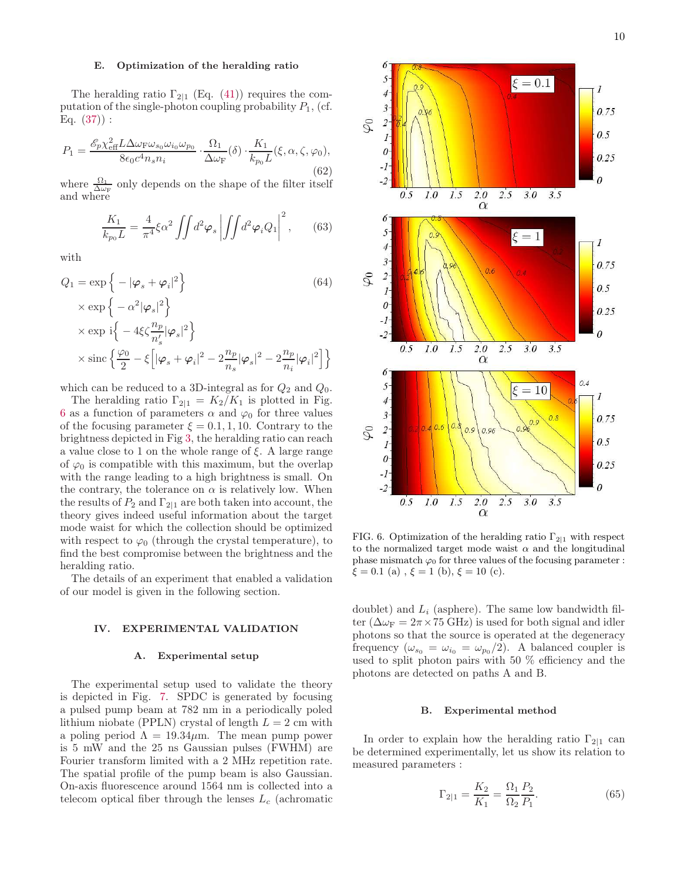### E. Optimization of the heralding ratio

The heralding ratio  $\Gamma_{2|1}$  (Eq. [\(41\)](#page-5-2)) requires the computation of the single-photon coupling probability  $P_1$ , (cf. Eq.  $(37)$ :

$$
P_1 = \frac{\mathcal{E}_p \chi_{\text{eff}}^2 L \Delta \omega_{\text{F}} \omega_{s_0} \omega_{i_0} \omega_{p_0}}{8\epsilon_0 c^4 n_s n_i} \cdot \frac{\Omega_1}{\Delta \omega_{\text{F}}}(\delta) \cdot \frac{K_1}{k_{p_0} L}(\xi, \alpha, \zeta, \varphi_0),
$$
\n(62)

where  $\frac{\Omega_1}{\Delta \omega_F}$  only depends on the shape of the filter itself and where

$$
\frac{K_1}{k_{p_0}L} = \frac{4}{\pi^4} \xi \alpha^2 \iint d^2 \varphi_s \left| \iint d^2 \varphi_i Q_1 \right|^2, \qquad (63)
$$

with

$$
Q_1 = \exp\left\{-|\varphi_s + \varphi_i|^2\right\}
$$
\n
$$
\times \exp\left\{-\alpha^2|\varphi_s|^2\right\}
$$
\n
$$
\times \exp\left\{-4\xi\zeta \frac{n_p}{n'_s}|\varphi_s|^2\right\}
$$
\n
$$
\times \sin\left\{\frac{\varphi_0}{2} - \xi\left[|\varphi_s + \varphi_i|^2 - 2\frac{n_p}{n_s}|\varphi_s|^2 - 2\frac{n_p}{n_i}|\varphi_i|^2\right]\right\}
$$
\n(64)

which can be reduced to a 3D-integral as for  $Q_2$  and  $Q_0$ .

The heralding ratio  $\Gamma_{2|1} = K_2/K_1$  is plotted in Fig. [6](#page-9-1) as a function of parameters  $\alpha$  and  $\varphi_0$  for three values of the focusing parameter  $\xi = 0.1, 1, 10$ . Contrary to the brightness depicted in Fig [3,](#page-7-0) the heralding ratio can reach a value close to 1 on the whole range of  $\xi$ . A large range of  $\varphi_0$  is compatible with this maximum, but the overlap with the range leading to a high brightness is small. On the contrary, the tolerance on  $\alpha$  is relatively low. When the results of  $P_2$  and  $\Gamma_{2|1}$  are both taken into account, the theory gives indeed useful information about the target mode waist for which the collection should be optimized with respect to  $\varphi_0$  (through the crystal temperature), to find the best compromise between the brightness and the heralding ratio.

The details of an experiment that enabled a validation of our model is given in the following section.

### <span id="page-9-0"></span>IV. EXPERIMENTAL VALIDATION

### A. Experimental setup

The experimental setup used to validate the theory is depicted in Fig. [7.](#page-10-0) SPDC is generated by focusing a pulsed pump beam at 782 nm in a periodically poled lithium niobate (PPLN) crystal of length  $L = 2$  cm with a poling period  $\Lambda = 19.34 \mu$ m. The mean pump power is 5 mW and the 25 ns Gaussian pulses (FWHM) are Fourier transform limited with a 2 MHz repetition rate. The spatial profile of the pump beam is also Gaussian. On-axis fluorescence around 1564 nm is collected into a telecom optical fiber through the lenses  $L_c$  (achromatic



<span id="page-9-1"></span>FIG. 6. Optimization of the heralding ratio  $\Gamma_{2|1}$  with respect to the normalized target mode waist  $\alpha$  and the longitudinal phase mismatch  $\varphi_0$  for three values of the focusing parameter :  $\xi = 0.1$  (a),  $\xi = 1$  (b),  $\xi = 10$  (c).

 $2.0$ 

 $\alpha$ 

 $2.5$ 

 $3.0$ 

 $3.5$ 

 $1.5$ 

 $1.0$ 

 $0.5$ 

doublet) and  $L_i$  (asphere). The same low bandwidth filter ( $\Delta \omega_F = 2\pi \times 75$  GHz) is used for both signal and idler photons so that the source is operated at the degeneracy frequency ( $\omega_{s_0} = \omega_{i_0} = \omega_{p_0}/2$ ). A balanced coupler is used to split photon pairs with 50 % efficiency and the photons are detected on paths A and B.

### B. Experimental method

In order to explain how the heralding ratio  $\Gamma_{2|1}$  can be determined experimentally, let us show its relation to measured parameters :

$$
\Gamma_{2|1} = \frac{K_2}{K_1} = \frac{\Omega_1}{\Omega_2} \frac{P_2}{P_1}.
$$
\n(65)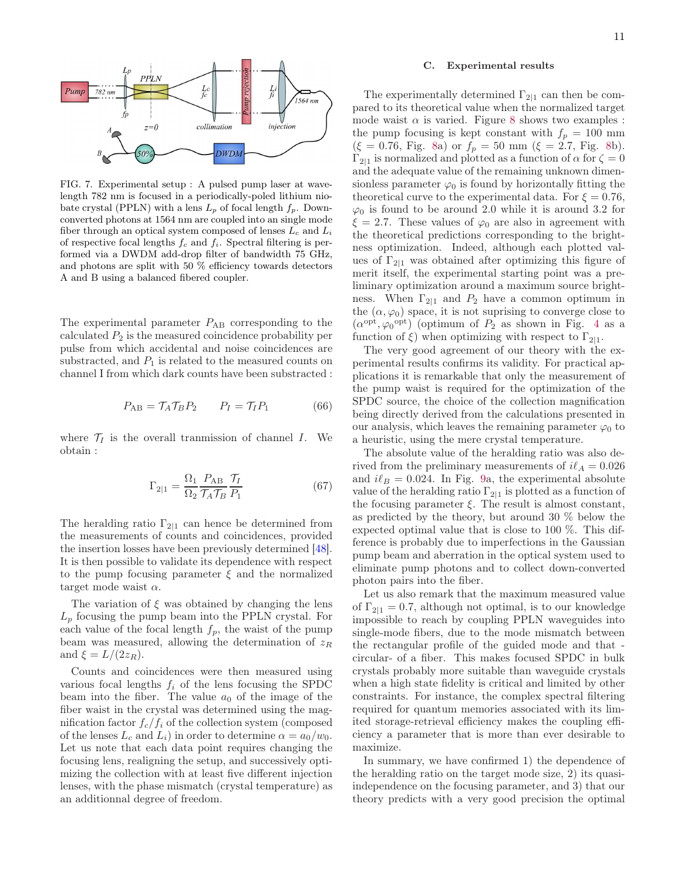

<span id="page-10-0"></span>FIG. 7. Experimental setup : A pulsed pump laser at wavelength 782 nm is focused in a periodically-poled lithium niobate crystal (PPLN) with a lens  $L_p$  of focal length  $f_p$ . Downconverted photons at 1564 nm are coupled into an single mode fiber through an optical system composed of lenses  $L_c$  and  $L_i$ of respective focal lengths  $f_c$  and  $f_i$ . Spectral filtering is performed via a DWDM add-drop filter of bandwidth 75 GHz, and photons are split with 50 % efficiency towards detectors A and B using a balanced fibered coupler.

The experimental parameter  $P_{AB}$  corresponding to the calculated  $P_2$  is the measured coincidence probability per pulse from which accidental and noise coincidences are substracted, and  $P_1$  is related to the measured counts on channel I from which dark counts have been substracted :

$$
P_{AB} = \mathcal{T}_A \mathcal{T}_B P_2 \qquad P_I = \mathcal{T}_I P_1 \tag{66}
$$

where  $\mathcal{T}_I$  is the overall tranmission of channel I. We obtain :

$$
\Gamma_{2|1} = \frac{\Omega_1}{\Omega_2} \frac{P_{AB}}{\mathcal{T}_A \mathcal{T}_B} \frac{\mathcal{T}_I}{P_1} \tag{67}
$$

The heralding ratio  $\Gamma_{2|1}$  can hence be determined from the measurements of counts and coincidences, provided the insertion losses have been previously determined [\[48\]](#page-15-33). It is then possible to validate its dependence with respect to the pump focusing parameter  $\xi$  and the normalized target mode waist  $\alpha$ .

The variation of  $\xi$  was obtained by changing the lens  $L_p$  focusing the pump beam into the PPLN crystal. For each value of the focal length  $f_p$ , the waist of the pump beam was measured, allowing the determination of  $z_R$ and  $\xi = L/(2z_R)$ .

Counts and coincidences were then measured using various focal lengths  $f_i$  of the lens focusing the SPDC beam into the fiber. The value  $a_0$  of the image of the fiber waist in the crystal was determined using the magnification factor  $f_c/f_i$  of the collection system (composed of the lenses  $L_c$  and  $L_i$ ) in order to determine  $\alpha = a_0/w_0$ . Let us note that each data point requires changing the focusing lens, realigning the setup, and successively optimizing the collection with at least five different injection lenses, with the phase mismatch (crystal temperature) as an additionnal degree of freedom.

#### C. Experimental results

The experimentally determined  $\Gamma_{2|1}$  can then be compared to its theoretical value when the normalized target mode waist  $\alpha$  is varied. Figure [8](#page-11-1) shows two examples : the pump focusing is kept constant with  $f_p = 100$  mm  $(\xi = 0.76, \text{ Fig. 8a}) \text{ or } f_p = 50 \text{ mm } (\xi = 2.7, \text{ Fig. 8b}).$  $(\xi = 0.76, \text{ Fig. 8a}) \text{ or } f_p = 50 \text{ mm } (\xi = 2.7, \text{ Fig. 8b}).$  $(\xi = 0.76, \text{ Fig. 8a}) \text{ or } f_p = 50 \text{ mm } (\xi = 2.7, \text{ Fig. 8b}).$  $(\xi = 0.76, \text{ Fig. 8a}) \text{ or } f_p = 50 \text{ mm } (\xi = 2.7, \text{ Fig. 8b}).$  $(\xi = 0.76, \text{ Fig. 8a}) \text{ or } f_p = 50 \text{ mm } (\xi = 2.7, \text{ Fig. 8b}).$  $\Gamma_{2|1}$  is normalized and plotted as a function of  $\alpha$  for  $\zeta = 0$ and the adequate value of the remaining unknown dimensionless parameter  $\varphi_0$  is found by horizontally fitting the theoretical curve to the experimental data. For  $\xi = 0.76$ ,  $\varphi_0$  is found to be around 2.0 while it is around 3.2 for  $\xi = 2.7$ . These values of  $\varphi_0$  are also in agreement with the theoretical predictions corresponding to the brightness optimization. Indeed, although each plotted values of  $\Gamma_{2|1}$  was obtained after optimizing this figure of merit itself, the experimental starting point was a preliminary optimization around a maximum source brightness. When  $\Gamma_{2|1}$  and  $P_2$  have a common optimum in the  $(\alpha, \varphi_0)$  space, it is not suprising to converge close to  $(\alpha^{\text{opt}}, \varphi_0^{\text{opt}})$  (optimum of  $P_2$  as shown in Fig. [4](#page-7-1) as a function of  $\xi$ ) when optimizing with respect to  $\Gamma_{2|1}$ .

The very good agreement of our theory with the experimental results confirms its validity. For practical applications it is remarkable that only the measurement of the pump waist is required for the optimization of the SPDC source, the choice of the collection magnification being directly derived from the calculations presented in our analysis, which leaves the remaining parameter  $\varphi_0$  to a heuristic, using the mere crystal temperature.

The absolute value of the heralding ratio was also derived from the preliminary measurements of  $i\ell_A = 0.026$ and  $i\ell_B = 0.024$ . In Fig. [9a](#page-11-2), the experimental absolute value of the heralding ratio  $\Gamma_{2|1}$  is plotted as a function of the focusing parameter  $\xi$ . The result is almost constant, as predicted by the theory, but around 30 % below the expected optimal value that is close to 100 %. This difference is probably due to imperfections in the Gaussian pump beam and aberration in the optical system used to eliminate pump photons and to collect down-converted photon pairs into the fiber.

Let us also remark that the maximum measured value of  $\Gamma_{2|1} = 0.7$ , although not optimal, is to our knowledge impossible to reach by coupling PPLN waveguides into single-mode fibers, due to the mode mismatch between the rectangular profile of the guided mode and that circular- of a fiber. This makes focused SPDC in bulk crystals probably more suitable than waveguide crystals when a high state fidelity is critical and limited by other constraints. For instance, the complex spectral filtering required for quantum memories associated with its limited storage-retrieval efficiency makes the coupling efficiency a parameter that is more than ever desirable to maximize.

In summary, we have confirmed 1) the dependence of the heralding ratio on the target mode size, 2) its quasiindependence on the focusing parameter, and 3) that our theory predicts with a very good precision the optimal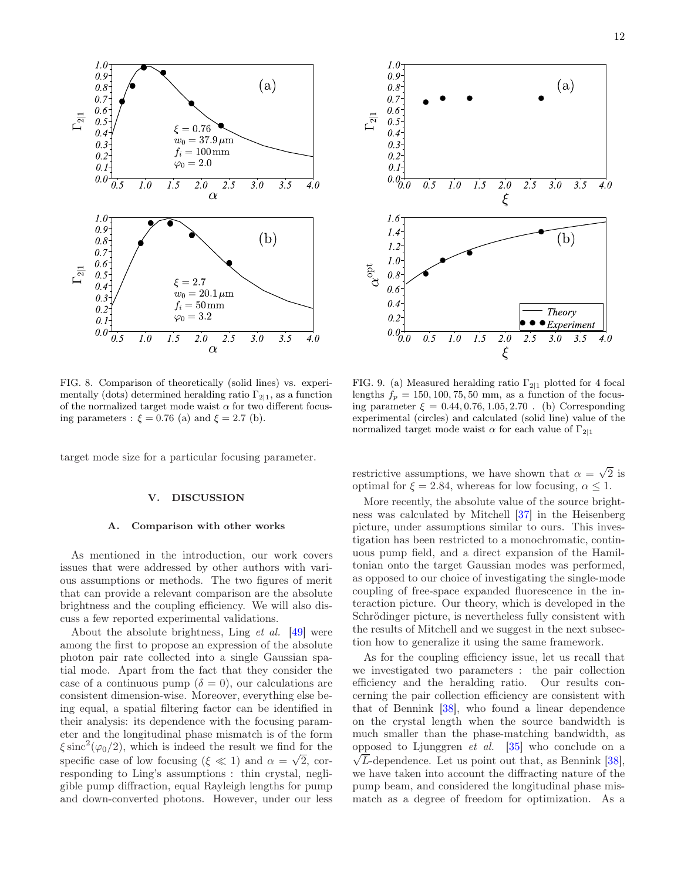

<span id="page-11-1"></span>FIG. 8. Comparison of theoretically (solid lines) vs. experimentally (dots) determined heralding ratio  $\Gamma_{2|1}$ , as a function of the normalized target mode waist  $\alpha$  for two different focusing parameters :  $\xi = 0.76$  (a) and  $\xi = 2.7$  (b).

target mode size for a particular focusing parameter.

#### <span id="page-11-0"></span>V. DISCUSSION

# A. Comparison with other works

As mentioned in the introduction, our work covers issues that were addressed by other authors with various assumptions or methods. The two figures of merit that can provide a relevant comparison are the absolute brightness and the coupling efficiency. We will also discuss a few reported experimental validations.

About the absolute brightness, Ling et al. [\[49\]](#page-15-34) were among the first to propose an expression of the absolute photon pair rate collected into a single Gaussian spatial mode. Apart from the fact that they consider the case of a continuous pump ( $\delta = 0$ ), our calculations are consistent dimension-wise. Moreover, everything else being equal, a spatial filtering factor can be identified in their analysis: its dependence with the focusing parameter and the longitudinal phase mismatch is of the form  $\xi \operatorname{sinc}^2(\varphi_0/2)$ , which is indeed the result we find for the specific case of low focusing ( $\xi \ll 1$ ) and  $\alpha = \sqrt{2}$ , corresponding to Ling's assumptions : thin crystal, negligible pump diffraction, equal Rayleigh lengths for pump and down-converted photons. However, under our less



<span id="page-11-2"></span>FIG. 9. (a) Measured heralding ratio  $\Gamma_{2|1}$  plotted for 4 focal lengths  $f_p = 150, 100, 75, 50$  mm, as a function of the focusing parameter  $\xi = 0.44, 0.76, 1.05, 2.70$ . (b) Corresponding experimental (circles) and calculated (solid line) value of the normalized target mode waist  $\alpha$  for each value of  $\Gamma_{2|1}$ 

restrictive assumptions, we have shown that  $\alpha = \sqrt{2}$  is optimal for  $\xi = 2.84$ , whereas for low focusing,  $\alpha \leq 1$ .

More recently, the absolute value of the source brightness was calculated by Mitchell [\[37](#page-15-22)] in the Heisenberg picture, under assumptions similar to ours. This investigation has been restricted to a monochromatic, continuous pump field, and a direct expansion of the Hamiltonian onto the target Gaussian modes was performed, as opposed to our choice of investigating the single-mode coupling of free-space expanded fluorescence in the interaction picture. Our theory, which is developed in the Schrödinger picture, is nevertheless fully consistent with the results of Mitchell and we suggest in the next subsection how to generalize it using the same framework.

As for the coupling efficiency issue, let us recall that we investigated two parameters : the pair collection efficiency and the heralding ratio. Our results concerning the pair collection efficiency are consistent with that of Bennink [\[38](#page-15-19)], who found a linear dependence on the crystal length when the source bandwidth is much smaller than the phase-matching bandwidth, as opposed to Ljunggren  $et$  al.  $[35]$  who conclude on a  $\sqrt{L}$ -dependence. Let us point out that, as Bennink  $[38]$ , we have taken into account the diffracting nature of the pump beam, and considered the longitudinal phase mismatch as a degree of freedom for optimization. As a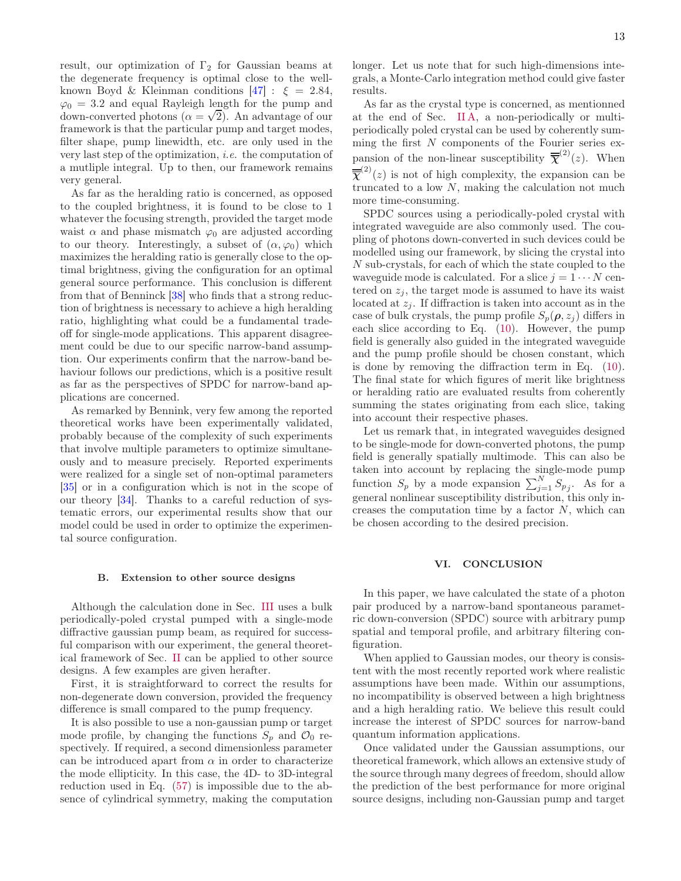result, our optimization of  $\Gamma_2$  for Gaussian beams at the degenerate frequency is optimal close to the wellknown Boyd & Kleinman conditions  $[47]$  :  $\xi = 2.84$ ,  $\varphi_0 = 3.2$  and equal Rayleigh length for the pump and  $\phi_0 = 0.2$  and equal radyleight length for the pump and down-converted photons  $(\alpha = \sqrt{2})$ . An advantage of our framework is that the particular pump and target modes, filter shape, pump linewidth, etc. are only used in the very last step of the optimization, i.e. the computation of a mutliple integral. Up to then, our framework remains very general.

As far as the heralding ratio is concerned, as opposed to the coupled brightness, it is found to be close to 1 whatever the focusing strength, provided the target mode waist  $\alpha$  and phase mismatch  $\varphi_0$  are adjusted according to our theory. Interestingly, a subset of  $(\alpha, \varphi_0)$  which maximizes the heralding ratio is generally close to the optimal brightness, giving the configuration for an optimal general source performance. This conclusion is different from that of Benninck [\[38](#page-15-19)] who finds that a strong reduction of brightness is necessary to achieve a high heralding ratio, highlighting what could be a fundamental tradeoff for single-mode applications. This apparent disagreement could be due to our specific narrow-band assumption. Our experiments confirm that the narrow-band behaviour follows our predictions, which is a positive result as far as the perspectives of SPDC for narrow-band applications are concerned.

As remarked by Bennink, very few among the reported theoretical works have been experimentally validated, probably because of the complexity of such experiments that involve multiple parameters to optimize simultaneously and to measure precisely. Reported experiments were realized for a single set of non-optimal parameters [\[35\]](#page-15-20) or in a configuration which is not in the scope of our theory [\[34](#page-15-35)]. Thanks to a careful reduction of systematic errors, our experimental results show that our model could be used in order to optimize the experimental source configuration.

#### B. Extension to other source designs

Although the calculation done in Sec. [III](#page-5-0) uses a bulk periodically-poled crystal pumped with a single-mode diffractive gaussian pump beam, as required for successful comparison with our experiment, the general theoretical framework of Sec. [II](#page-1-0) can be applied to other source designs. A few examples are given herafter.

First, it is straightforward to correct the results for non-degenerate down conversion, provided the frequency difference is small compared to the pump frequency.

It is also possible to use a non-gaussian pump or target mode profile, by changing the functions  $S_p$  and  $\mathcal{O}_0$  respectively. If required, a second dimensionless parameter can be introduced apart from  $\alpha$  in order to characterize the mode ellipticity. In this case, the 4D- to 3D-integral reduction used in Eq. [\(57\)](#page-6-3) is impossible due to the absence of cylindrical symmetry, making the computation

longer. Let us note that for such high-dimensions integrals, a Monte-Carlo integration method could give faster results.

As far as the crystal type is concerned, as mentionned at the end of Sec. [II A,](#page-1-5) a non-periodically or multiperiodically poled crystal can be used by coherently summing the first N components of the Fourier series expansion of the non-linear susceptibility  $\overline{\overline{\chi}}^{(2)}(z)$ . When  $\overline{\mathbf{\overline{\chi}}}^{(2)}(z)$  is not of high complexity, the expansion can be truncated to a low  $N$ , making the calculation not much more time-consuming.

SPDC sources using a periodically-poled crystal with integrated waveguide are also commonly used. The coupling of photons down-converted in such devices could be modelled using our framework, by slicing the crystal into N sub-crystals, for each of which the state coupled to the waveguide mode is calculated. For a slice  $j = 1 \cdots N$  centered on  $z_i$ , the target mode is assumed to have its waist located at  $z_j$ . If diffraction is taken into account as in the case of bulk crystals, the pump profile  $S_p(\rho, z_i)$  differs in each slice according to Eq. [\(10\)](#page-2-6). However, the pump field is generally also guided in the integrated waveguide and the pump profile should be chosen constant, which is done by removing the diffraction term in Eq. [\(10\)](#page-2-6). The final state for which figures of merit like brightness or heralding ratio are evaluated results from coherently summing the states originating from each slice, taking into account their respective phases.

Let us remark that, in integrated waveguides designed to be single-mode for down-converted photons, the pump field is generally spatially multimode. This can also be taken into account by replacing the single-mode pump function  $S_p$  by a mode expansion  $\sum_{j=1}^{N} S_{p_j}$ . As for a general nonlinear susceptibility distribution, this only increases the computation time by a factor  $N$ , which can be chosen according to the desired precision.

### VI. CONCLUSION

In this paper, we have calculated the state of a photon pair produced by a narrow-band spontaneous parametric down-conversion (SPDC) source with arbitrary pump spatial and temporal profile, and arbitrary filtering configuration.

When applied to Gaussian modes, our theory is consistent with the most recently reported work where realistic assumptions have been made. Within our assumptions, no incompatibility is observed between a high brightness and a high heralding ratio. We believe this result could increase the interest of SPDC sources for narrow-band quantum information applications.

Once validated under the Gaussian assumptions, our theoretical framework, which allows an extensive study of the source through many degrees of freedom, should allow the prediction of the best performance for more original source designs, including non-Gaussian pump and target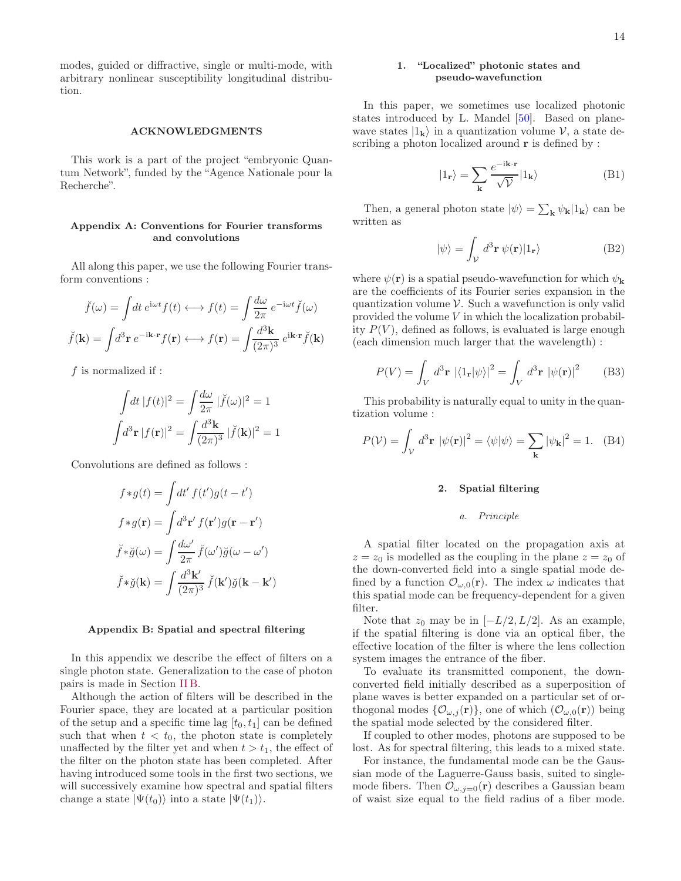modes, guided or diffractive, single or multi-mode, with arbitrary nonlinear susceptibility longitudinal distribution.

#### ACKNOWLEDGMENTS

This work is a part of the project "embryonic Quantum Network", funded by the "Agence Nationale pour la Recherche".

# <span id="page-13-0"></span>Appendix A: Conventions for Fourier transforms and convolutions

All along this paper, we use the following Fourier transform conventions :

$$
\check{f}(\omega) = \int dt \, e^{i\omega t} f(t) \longleftrightarrow f(t) = \int \frac{d\omega}{2\pi} \, e^{-i\omega t} \check{f}(\omega)
$$
\n
$$
\check{f}(\mathbf{k}) = \int d^3 \mathbf{r} \, e^{-i\mathbf{k} \cdot \mathbf{r}} f(\mathbf{r}) \longleftrightarrow f(\mathbf{r}) = \int \frac{d^3 \mathbf{k}}{(2\pi)^3} \, e^{i\mathbf{k} \cdot \mathbf{r}} \check{f}(\mathbf{k})
$$

f is normalized if :

$$
\int dt |f(t)|^2 = \int \frac{d\omega}{2\pi} |\check{f}(\omega)|^2 = 1
$$

$$
\int d^3 \mathbf{r} |f(\mathbf{r})|^2 = \int \frac{d^3 \mathbf{k}}{(2\pi)^3} |\check{f}(\mathbf{k})|^2 = 1
$$

Convolutions are defined as follows :

$$
f * g(t) = \int dt' f(t')g(t - t')
$$

$$
f * g(\mathbf{r}) = \int d^3 \mathbf{r}' f(\mathbf{r}')g(\mathbf{r} - \mathbf{r}')
$$

$$
\check{f} * \check{g}(\omega) = \int \frac{d\omega'}{2\pi} \check{f}(\omega')\check{g}(\omega - \omega')
$$

$$
\check{f} * \check{g}(\mathbf{k}) = \int \frac{d^3 \mathbf{k}'}{(2\pi)^3} \check{f}(\mathbf{k}')\check{g}(\mathbf{k} - \mathbf{k}')
$$

# <span id="page-13-1"></span>Appendix B: Spatial and spectral filtering

In this appendix we describe the effect of filters on a single photon state. Generalization to the case of photon pairs is made in Section [II B.](#page-2-7)

Although the action of filters will be described in the Fourier space, they are located at a particular position of the setup and a specific time lag  $[t_0, t_1]$  can be defined such that when  $t < t_0$ , the photon state is completely unaffected by the filter yet and when  $t > t_1$ , the effect of the filter on the photon state has been completed. After having introduced some tools in the first two sections, we will successively examine how spectral and spatial filters change a state  $|\Psi(t_0)\rangle$  into a state  $|\Psi(t_1)\rangle$ .

# 1. "Localized" photonic states and pseudo-wavefunction

In this paper, we sometimes use localized photonic states introduced by L. Mandel [\[50](#page-15-36)]. Based on planewave states  $|1_{k}\rangle$  in a quantization volume V, a state describing a photon localized around  $\bf{r}$  is defined by :

$$
|1_{\mathbf{r}}\rangle = \sum_{\mathbf{k}} \frac{e^{-i\mathbf{k}\cdot\mathbf{r}}}{\sqrt{\mathcal{V}}} |1_{\mathbf{k}}\rangle
$$
 (B1)

Then, a general photon state  $|\psi\rangle = \sum_{\mathbf{k}} \psi_{\mathbf{k}} |1_{\mathbf{k}}\rangle$  can be written as

$$
|\psi\rangle = \int_{\mathcal{V}} d^3 \mathbf{r} \, \psi(\mathbf{r}) |1_{\mathbf{r}}\rangle \tag{B2}
$$

where  $\psi(\mathbf{r})$  is a spatial pseudo-wavefunction for which  $\psi_{\mathbf{k}}$ are the coefficients of its Fourier series expansion in the quantization volume  $V$ . Such a wavefunction is only valid provided the volume V in which the localization probability  $P(V)$ , defined as follows, is evaluated is large enough (each dimension much larger that the wavelength) :

$$
P(V) = \int_{V} d^{3} \mathbf{r} \, |\langle 1_{\mathbf{r}} | \psi \rangle|^{2} = \int_{V} d^{3} \mathbf{r} \, |\psi(\mathbf{r})|^{2} \qquad (B3)
$$

This probability is naturally equal to unity in the quantization volume :

$$
P(\mathcal{V}) = \int_{\mathcal{V}} d^3 \mathbf{r} |\psi(\mathbf{r})|^2 = \langle \psi | \psi \rangle = \sum_{\mathbf{k}} |\psi_{\mathbf{k}}|^2 = 1. \quad (B4)
$$

# 2. Spatial filtering

#### a. Principle

A spatial filter located on the propagation axis at  $z = z_0$  is modelled as the coupling in the plane  $z = z_0$  of the down-converted field into a single spatial mode defined by a function  $\mathcal{O}_{\omega,0}(\mathbf{r})$ . The index  $\omega$  indicates that this spatial mode can be frequency-dependent for a given filter.

Note that  $z_0$  may be in  $[-L/2, L/2]$ . As an example, if the spatial filtering is done via an optical fiber, the effective location of the filter is where the lens collection system images the entrance of the fiber.

To evaluate its transmitted component, the downconverted field initially described as a superposition of plane waves is better expanded on a particular set of orthogonal modes  $\{\mathcal{O}_{\omega,j}(\mathbf{r})\}\)$ , one of which  $(\mathcal{O}_{\omega,0}(\mathbf{r}))$  being the spatial mode selected by the considered filter.

If coupled to other modes, photons are supposed to be lost. As for spectral filtering, this leads to a mixed state.

For instance, the fundamental mode can be the Gaussian mode of the Laguerre-Gauss basis, suited to singlemode fibers. Then  $\mathcal{O}_{\omega,j=0}(\mathbf{r})$  describes a Gaussian beam of waist size equal to the field radius of a fiber mode.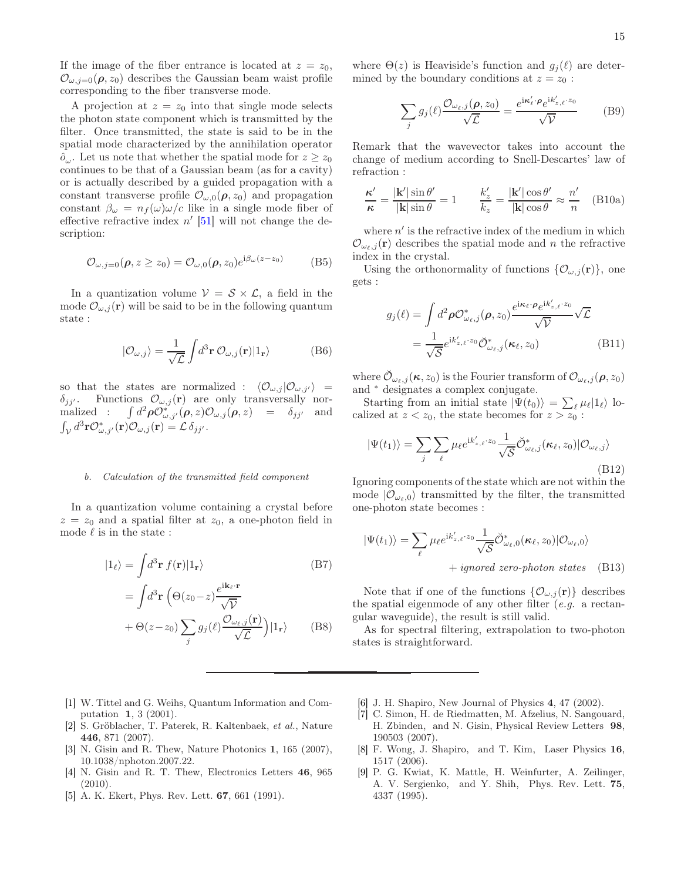If the image of the fiber entrance is located at  $z = z_0$ ,  $\mathcal{O}_{\omega, j=0}(\rho, z_0)$  describes the Gaussian beam waist profile corresponding to the fiber transverse mode.

A projection at  $z = z_0$  into that single mode selects the photon state component which is transmitted by the filter. Once transmitted, the state is said to be in the spatial mode characterized by the annihilation operator  $\hat{o}_{\omega}$ . Let us note that whether the spatial mode for  $z \ge z_0$ continues to be that of a Gaussian beam (as for a cavity) or is actually described by a guided propagation with a constant transverse profile  $\mathcal{O}_{\omega,0}(\rho,z_0)$  and propagation constant  $\beta_{\omega} = n_f(\omega)\omega/c$  like in a single mode fiber of effective refractive index  $n'$  [\[51](#page-15-37)] will not change the description:

$$
\mathcal{O}_{\omega,j=0}(\boldsymbol{\rho},z\geq z_0)=\mathcal{O}_{\omega,0}(\boldsymbol{\rho},z_0)e^{i\beta_{\omega}(z-z_0)}\qquad(B5)
$$

In a quantization volume  $V = S \times \mathcal{L}$ , a field in the mode  $\mathcal{O}_{\omega,j}(\mathbf{r})$  will be said to be in the following quantum state :

$$
|\mathcal{O}_{\omega,j}\rangle = \frac{1}{\sqrt{\mathcal{L}}} \int d^3 \mathbf{r} \, \mathcal{O}_{\omega,j}(\mathbf{r}) |1_{\mathbf{r}}\rangle \tag{B6}
$$

so that the states are normalized :  $\langle \mathcal{O}_{\omega,i} | \mathcal{O}_{\omega,i'} \rangle$  =  $\delta_{jj'}$ . Functions  $\mathcal{O}_{\omega,j}(\mathbf{r})$  are only transversally normalized :  $\int d^2 \rho \mathcal{O}^*_{\omega,j'}(\rho, z) \mathcal{O}_{\omega,j}(\rho, z) = \delta_{jj'}$  and  $\int_{\mathcal{V}} d^3 \mathbf{r} \mathcal{O}^{*}_{\omega,j'}(\mathbf{r}) \mathcal{O}_{\omega,j}(\mathbf{r}) = \mathcal{L} \, \delta_{jj'}.$ 

### b. Calculation of the transmitted field component

In a quantization volume containing a crystal before  $z = z_0$  and a spatial filter at  $z_0$ , a one-photon field in mode  $\ell$  is in the state :

$$
|1_{\ell}\rangle = \int d^3 \mathbf{r} \, f(\mathbf{r}) |1_{\mathbf{r}}\rangle \tag{B7}
$$

$$
= \int d^3 \mathbf{r} \, \left(\Theta(z_0 - z) \frac{e^{i\mathbf{k}_{\ell} \cdot \mathbf{r}}}{\sqrt{\mathcal{V}}} + \Theta(z - z_0) \sum_j g_j(\ell) \frac{\mathcal{O}_{\omega_{\ell,j}}(\mathbf{r})}{\sqrt{\mathcal{L}}}\right) |1_{\mathbf{r}}\rangle \tag{B8}
$$

where  $\Theta(z)$  is Heaviside's function and  $g_i(\ell)$  are determined by the boundary conditions at  $z = z_0$ :

$$
\sum_{j} g_j(\ell) \frac{\mathcal{O}_{\omega_{\ell},j}(\rho, z_0)}{\sqrt{\mathcal{L}}} = \frac{e^{i\kappa'_{\ell} \cdot \rho} e^{i k'_{z,\ell} \cdot z_0}}{\sqrt{\mathcal{V}}}
$$
(B9)

Remark that the wavevector takes into account the change of medium according to Snell-Descartes' law of refraction :

$$
\frac{\kappa'}{\kappa} = \frac{|\mathbf{k'}| \sin \theta'}{|\mathbf{k}| \sin \theta} = 1 \qquad \frac{k'_z}{k_z} = \frac{|\mathbf{k'}| \cos \theta'}{|\mathbf{k}| \cos \theta} \approx \frac{n'}{n} \quad \text{(B10a)}
$$

where  $n'$  is the refractive index of the medium in which  $\mathcal{O}_{\omega_{\ell},j}(\mathbf{r})$  describes the spatial mode and n the refractive index in the crystal.

Using the orthonormality of functions  $\{\mathcal{O}_{\omega,j}(\mathbf{r})\}\,$  one gets :

$$
g_j(\ell) = \int d^2 \rho \mathcal{O}_{\omega_{\ell},j}^*(\rho, z_0) \frac{e^{i\kappa_{\ell} \cdot \rho} e^{ik'_z \cdot \ell \cdot z_0}}{\sqrt{\mathcal{V}}} \sqrt{\mathcal{L}}
$$
  
= 
$$
\frac{1}{\sqrt{\mathcal{S}}} e^{ik'_z \cdot \ell \cdot z_0} \breve{\mathcal{O}}_{\omega_{\ell},j}^*(\kappa_{\ell}, z_0)
$$
(B11)

where  $\mathcal{O}_{\omega_\ell,j}(\kappa,z_0)$  is the Fourier transform of  $\mathcal{O}_{\omega_\ell,j}(\rho,z_0)$ and <sup>∗</sup> designates a complex conjugate.

Starting from an initial state  $|\Psi(t_0)\rangle = \sum_{\ell} \mu_{\ell} |1_{\ell}\rangle$  localized at  $z < z_0$ , the state becomes for  $z > z_0$ :

$$
|\Psi(t_1)\rangle = \sum_{j} \sum_{\ell} \mu_{\ell} e^{i k'_{z,\ell} \cdot z_0} \frac{1}{\sqrt{S}} \breve{\mathcal{O}}_{\omega_{\ell},j}^* (\kappa_{\ell}, z_0) | \mathcal{O}_{\omega_{\ell},j}\rangle
$$
\n(B12)

Ignoring components of the state which are not within the mode  $|O_{\omega_{\ell},0}\rangle$  transmitted by the filter, the transmitted one-photon state becomes :

$$
|\Psi(t_1)\rangle = \sum_{\ell} \mu_{\ell} e^{ik'_{z,\ell} \cdot z_0} \frac{1}{\sqrt{S}} \breve{\mathcal{O}}^*_{\omega_{\ell},0}(\kappa_{\ell}, z_0) |\mathcal{O}_{\omega_{\ell},0}\rangle + \text{ ignored zero-photon states} \quad (B13)
$$

Note that if one of the functions  $\{\mathcal{O}_{\omega,j}(\mathbf{r})\}$  describes the spatial eigenmode of any other filter  $(e.g., a rectan$ gular waveguide), the result is still valid.

As for spectral filtering, extrapolation to two-photon states is straightforward.

- <span id="page-14-0"></span>[1] W. Tittel and G. Weihs, Quantum Information and Computation 1, 3 (2001).
- <span id="page-14-1"></span>[2] S. Gröblacher, T. Paterek, R. Kaltenbaek, et al., Nature 446, 871 (2007).
- <span id="page-14-2"></span>[3] N. Gisin and R. Thew, Nature Photonics 1, 165 (2007), 10.1038/nphoton.2007.22.
- <span id="page-14-3"></span>[4] N. Gisin and R. T. Thew, Electronics Letters 46, 965 (2010).
- <span id="page-14-4"></span>[5] A. K. Ekert, Phys. Rev. Lett. 67, 661 (1991).
- <span id="page-14-5"></span>[6] J. H. Shapiro, New Journal of Physics 4, 47 (2002).
- <span id="page-14-6"></span>[7] C. Simon, H. de Riedmatten, M. Afzelius, N. Sangouard, H. Zbinden, and N. Gisin, Physical Review Letters 98, 190503 (2007).
- <span id="page-14-7"></span>[8] F. Wong, J. Shapiro, and T. Kim, Laser Physics 16, 1517 (2006).
- <span id="page-14-8"></span>[9] P. G. Kwiat, K. Mattle, H. Weinfurter, A. Zeilinger, A. V. Sergienko, and Y. Shih, Phys. Rev. Lett. 75, 4337 (1995).